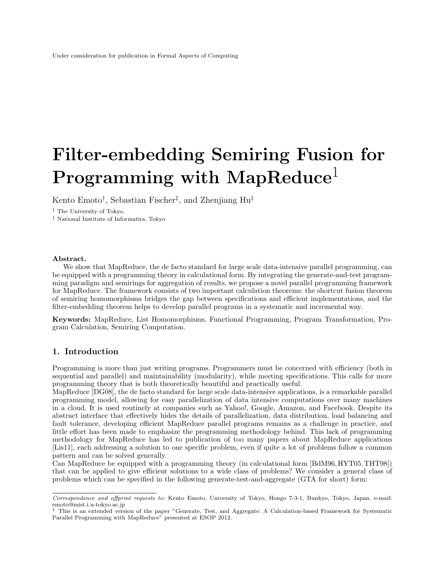Kento Emoto*†* , Sebastian Fischer*‡* , and Zhenjiang Hu*‡*

*†* The University of Tokyo,

*‡* National Institute of Informatics, Tokyo

#### **Abstract.**

We show that MapReduce, the de facto standard for large scale data-intensive parallel programming, can be equipped with a programming theory in calculational form. By integrating the generate-and-test programming paradigm and semirings for aggregation of results, we propose a novel parallel programming framework for MapReduce. The framework consists of two important calculation theorems: the shortcut fusion theorem of semiring homomorphisms bridges the gap between specifications and efficient implementations, and the filter-embedding theorem helps to develop parallel programs in a systematic and incremental way.

**Keywords:** MapReduce, List Homomorphisms, Functional Programming, Program Transformation, Program Calculation, Semiring Computation.

## **1. Introduction**

Programming is more than just writing programs. Programmers must be concerned with efficiency (both in sequential and parallel) and maintainability (modularity), while meeting specifications. This calls for more programming theory that is both theoretically beautiful and practically useful.

MapReduce [DG08], the de facto standard for large scale data-intensive applications, is a remarkable parallel programming model, allowing for easy parallelization of data intensive computations over many machines in a cloud. It is used routinely at companies such as Yahoo!, Google, Amazon, and Facebook. Despite its abstract interface that effectively hides the details of parallelization, data distribution, load balancing and fault tolerance, developing efficient MapReduce parallel programs remains as a challenge in practice, and little effort has been made to emphasize the programming methodology behind. This lack of programming methodology for MapReduce has led to publication of too many papers about MapReduce applications [Lis11], each addressing a solution to one specific problem, even if quite a lot of problems follow a common pattern and can be solved generally.

Can MapReduce be equipped with a programming theory (in calculational form [BdM96, HYT05, THT98]) that can be applied to give efficient solutions to a wide class of problems? We consider a general class of problems which can be specified in the following generate-test-and-aggregate (GTA for short) form:

*Correspondence and offprint requests to*: Kento Emoto, University of Tokyo, Hongo 7-3-1, Bunkyo, Tokyo, Japan. e-mail: emoto@mist.i.u-tokyo.ac.jp

<sup>1</sup> This is an extended version of the paper "Generate, Test, and Aggregate: A Calculation-based Framework for Systematic Parallel Programming with MapReduce" presented at ESOP 2012.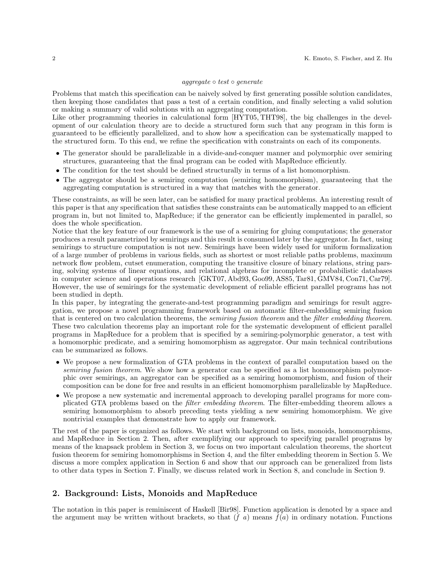#### *aggregate ◦ test ◦ generate*

Problems that match this specification can be naively solved by first generating possible solution candidates, then keeping those candidates that pass a test of a certain condition, and finally selecting a valid solution or making a summary of valid solutions with an aggregating computation.

Like other programming theories in calculational form [HYT05, THT98], the big challenges in the development of our calculation theory are to decide a structured form such that any program in this form is guaranteed to be efficiently parallelized, and to show how a specification can be systematically mapped to the structured form. To this end, we refine the specification with constraints on each of its components.

- The generator should be parallelizable in a divide-and-conquer manner and polymorphic over semiring structures, guaranteeing that the final program can be coded with MapReduce efficiently.
- The condition for the test should be defined structurally in terms of a list homomorphism.
- The aggregator should be a semiring computation (semiring homomorphism), guaranteeing that the aggregating computation is structured in a way that matches with the generator.

These constraints, as will be seen later, can be satisfied for many practical problems. An interesting result of this paper is that any specification that satisfies these constraints can be automatically mapped to an efficient program in, but not limited to, MapReduce; if the generator can be efficiently implemented in parallel, so does the whole specification.

Notice that the key feature of our framework is the use of a semiring for gluing computations; the generator produces a result parametrized by semirings and this result is consumed later by the aggregator. In fact, using semirings to structure computation is not new. Semirings have been widely used for uniform formalization of a large number of problems in various fields, such as shortest or most reliable paths problems, maximum network flow problem, cutset enumeration, computing the transitive closure of binary relations, string parsing, solving systems of linear equations, and relational algebras for incomplete or probabilistic databases in computer science and operations research [GKT07, Abd93, Goo99, AS85, Tar81, GMV84, Con71, Car79]. However, the use of semirings for the systematic development of reliable efficient parallel programs has not been studied in depth.

In this paper, by integrating the generate-and-test programming paradigm and semirings for result aggregation, we propose a novel programming framework based on automatic filter-embedding semiring fusion that is centered on two calculation theorems, the *semiring fusion theorem* and the *filter embedding theorem*. These two calculation theorems play an important role for the systematic development of efficient parallel programs in MapReduce for a problem that is specified by a semiring-polymorphic generator, a test with a homomorphic predicate, and a semiring homomorphism as aggregator. Our main technical contributions can be summarized as follows.

- We propose a new formalization of GTA problems in the context of parallel computation based on the *semiring fusion theorem*. We show how a generator can be specified as a list homomorphism polymorphic over semirings, an aggregator can be specified as a semiring homomorphism, and fusion of their composition can be done for free and results in an efficient homomorphism parallelizable by MapReduce.
- We propose a new systematic and incremental approach to developing parallel programs for more complicated GTA problems based on the *filter embedding theorem*. The filter-embedding theorem allows a semiring homomorphism to absorb preceding tests yielding a new semiring homomorphism. We give nontrivial examples that demonstrate how to apply our framework.

The rest of the paper is organized as follows. We start with background on lists, monoids, homomorphisms, and MapReduce in Section 2. Then, after exemplifying our approach to specifying parallel programs by means of the knapsack problem in Section 3, we focus on two important calculation theorems, the shortcut fusion theorem for semiring homomorphisms in Section 4, and the filter embedding theorem in Section 5. We discuss a more complex application in Section 6 and show that our approach can be generalized from lists to other data types in Section 7. Finally, we discuss related work in Section 8, and conclude in Section 9.

# **2. Background: Lists, Monoids and MapReduce**

The notation in this paper is reminiscent of Haskell [Bir98]. Function application is denoted by a space and the argument may be written without brackets, so that  $(f \ a)$  means  $f(a)$  in ordinary notation. Functions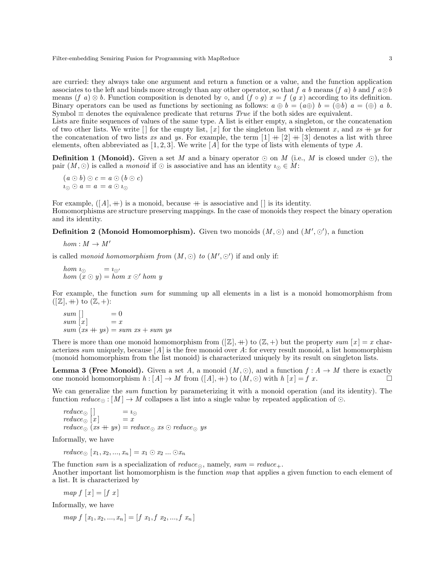are curried: they always take one argument and return a function or a value, and the function application associates to the left and binds more strongly than any other operator, so that *f a b* means (*f a*) *b* and *f a* $\otimes$ *b* means (*f*  $a) \otimes b$ . Function composition is denoted by  $\circ$ , and (*f*  $\circ$  *g*)  $x = f(g \ x)$  according to its definition.

Binary operators can be used as functions by sectioning as follows:  $a \oplus b = (a \oplus b)$   $b = (\oplus b)$   $a = (\oplus)$   $a \cdot b$ . Symbol *≡* denotes the equivalence predicate that returns *True* if the both sides are equivalent. Lists are finite sequences of values of the same type. A list is either empty, a singleton, or the concatenation

of two other lists. We write  $[]$  for the empty list,  $[x]$  for the singleton list with element  $x$ , and  $xs + ys$  for the concatenation of two lists *xs* and *ys*. For example, the term  $[1] + [2] + [3]$  denotes a list with three elements, often abbreviated as [1*,* 2*,* 3]. We write [*A*] for the type of lists with elements of type *A*.

**Definition 1 (Monoid).** Given a set *M* and a binary operator  $\odot$  on *M* (i.e., *M* is closed under  $\odot$ ), the pair  $(M, \odot)$  is called a *monoid* if  $\odot$  is associative and has an identity  $\imath_{\odot} \in M$ :

$$
(a \odot b) \odot c = a \odot (b \odot c)
$$
  

$$
i_{\odot} \odot a = a = a \odot i_{\odot}
$$

For example,  $([A], +)$  is a monoid, because  $+$  is associative and  $[$  is its identity. Homomorphisms are structure preserving mappings. In the case of monoids they respect the binary operation and its identity.

# **Definition 2 (Monoid Homomorphism).** Given two monoids (*M , ⊙*) and (*M ′ , ⊙′* ), a function

 $hom: M \to M'$ 

is called *monoid homomorphism from*  $(M, \odot)$  *to*  $(M', \odot')$  if and only if:

*hom*  $i_{\odot}$  =  $i_{\odot'}$  $hom(x \odot y) = hom(x \odot' hom y)$ 

For example, the function *sum* for summing up all elements in a list is a monoid homomorphism from  $([Z], +)$  to  $(Z, +)$ :

 $sum$  []  $= 0$  $sum [x] = x$  $sum (xs + ys) = sum xs + sum ys$ 

There is more than one monoid homomorphism from  $(|\mathbb{Z}|, +)$  to  $(\mathbb{Z}, +)$  but the property *sum*  $|x| = x$  characterizes *sum* uniquely, because [*A*] is the free monoid over *A*: for every result monoid, a list homomorphism (monoid homomorphism from the list monoid) is characterized uniquely by its result on singleton lists.

**Lemma 3 (Free Monoid).** Given a set *A*, a monoid  $(M, \odot)$ , and a function  $f : A \rightarrow M$  there is exactly one monoid homomorphism  $h : [A] \to M$  from  $([A], +)$  to  $(M, \odot)$  with  $h [x] = f x$ .

We can generalize the *sum* function by parameterizing it with a monoid operation (and its identity). The function  $reduce_{\odot} : [M] \to M$  collapses a list into a single value by repeated application of  $\odot$ .

 $reduce_{\odot}$  [ ] =  $i_{\odot}$  $reduce_{\odot} [x] = x$  $reduce_{\odot}$   $(xs + ys) = reduce_{\odot} xs \odot reduce_{\odot} ys$ 

Informally, we have

 $reduce \bigcap [x_1, x_2, ..., x_n] = x_1 \bigodot x_2 ... \bigodot x_n$ 

The function *sum* is a specialization of  $reduce_{\odot}$ , namely,  $sum = reduce_{+}$ .

Another important list homomorphism is the function *map* that applies a given function to each element of a list. It is characterized by

*map f*  $[x] = [f x]$ 

Informally, we have

$$
map f [x_1, x_2, ..., x_n] = [f x_1, f x_2, ..., f x_n]
$$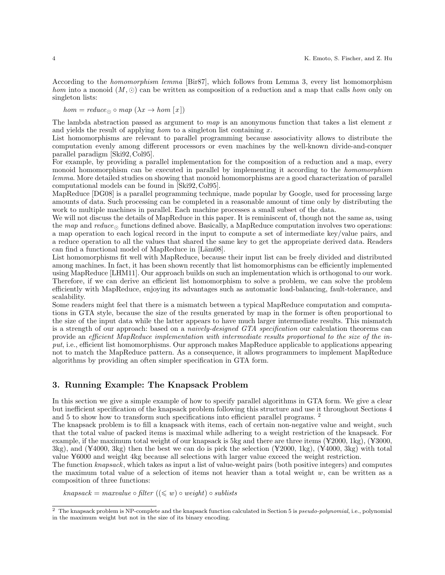According to the *homomorphism lemma* [Bir87], which follows from Lemma 3, every list homomorphism *hom* into a monoid (*M*, ⊙) can be written as composition of a reduction and a map that calls *hom* only on singleton lists:

 $hom = reduce_{\odot} \circ map (\lambda x \to hom [x])$ 

The lambda abstraction passed as argument to *map* is an anonymous function that takes a list element *x* and yields the result of applying *hom* to a singleton list containing *x* .

List homomorphisms are relevant to parallel programming because associativity allows to distribute the computation evenly among different processors or even machines by the well-known divide-and-conquer parallel paradigm [Ski92, Col95].

For example, by providing a parallel implementation for the composition of a reduction and a map, every monoid homomorphism can be executed in parallel by implementing it according to the *homomorphism lemma*. More detailed studies on showing that monoid homomorphisms are a good characterization of parallel computational models can be found in [Ski92, Col95].

MapReduce [DG08] is a parallel programming technique, made popular by Google, used for processing large amounts of data. Such processing can be completed in a reasonable amount of time only by distributing the work to multiple machines in parallel. Each machine processes a small subset of the data.

We will not discuss the details of MapReduce in this paper. It is reminiscent of, though not the same as, using the *map* and *reduce<sup>⊙</sup>* functions defined above. Basically, a MapReduce computation involves two operations: a map operation to each logical record in the input to compute a set of intermediate key/value pairs, and a reduce operation to all the values that shared the same key to get the appropriate derived data. Readers can find a functional model of MapReduce in [Läm08].

List homomorphisms fit well with MapReduce, because their input list can be freely divided and distributed among machines. In fact, it has been shown recently that list homomorphisms can be efficiently implemented using MapReduce [LHM11]. Our approach builds on such an implementation which is orthogonal to our work. Therefore, if we can derive an efficient list homomorphism to solve a problem, we can solve the problem efficiently with MapReduce, enjoying its advantages such as automatic load-balancing, fault-tolerance, and scalability.

Some readers might feel that there is a mismatch between a typical MapReduce computation and computations in GTA style, because the size of the results generated by map in the former is often proportional to the size of the input data while the latter appears to have much larger intermediate results. This mismatch is a strength of our approach: based on a *naively-designed GTA specification* our calculation theorems can provide an *efficient MapReduce implementation with intermediate results proportional to the size of the input*, i.e., efficient list homomorphisms. Our approach makes MapReduce applicable to applications appearing not to match the MapReduce pattern. As a consequence, it allows programmers to implement MapReduce algorithms by providing an often simpler specification in GTA form.

# **3. Running Example: The Knapsack Problem**

In this section we give a simple example of how to specify parallel algorithms in GTA form. We give a clear but inefficient specification of the knapsack problem following this structure and use it throughout Sections 4 and 5 to show how to transform such specifications into efficient parallel programs. <sup>2</sup>

The knapsack problem is to fill a knapsack with items, each of certain non-negative value and weight, such that the total value of packed items is maximal while adhering to a weight restriction of the knapsack. For example, if the maximum total weight of our knapsack is 5kg and there are three items (¥2000, 1kg), (¥3000, 3kg), and (¥4000, 3kg) then the best we can do is pick the selection (¥2000, 1kg), (¥4000, 3kg) with total value ¥6000 and weight 4kg because all selections with larger value exceed the weight restriction.

The function *knapsack*, which takes as input a list of value-weight pairs (both positive integers) and computes the maximum total value of a selection of items not heavier than a total weight *w*, can be written as a composition of three functions:

 $knapsack = maxvalue \circ filter ((\leq w) \circ weight) \circ sublists$ 

<sup>2</sup> The knapsack problem is NP-complete and the knapsack function calculated in Section 5 is *pseudo-polynomial*, i.e., polynomial in the maximum weight but not in the size of its binary encoding.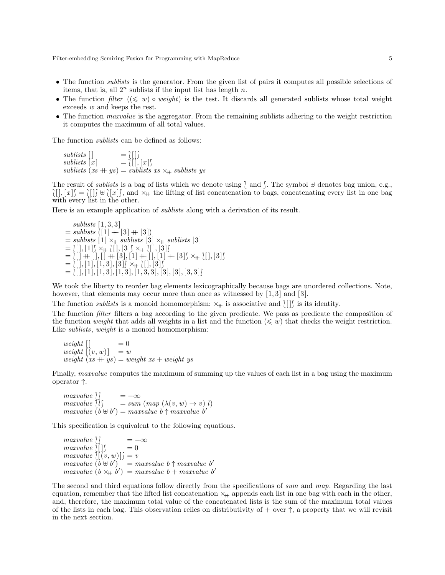- The function *sublists* is the generator. From the given list of pairs it computes all possible selections of items, that is, all 2*<sup>n</sup>* sublists if the input list has length *n*.
- *•* The function *filter* ((⩽ *w*) *◦ weight*) is the test. It discards all generated sublists whose total weight exceeds *w* and keeps the rest.
- The function *maxvalue* is the aggregator. From the remaining sublists adhering to the weight restriction it computes the maximum of all total values.

The function *sublists* can be defined as follows:

 $\text{sublists} \begin{bmatrix} \vdots \\ \vdots \\ \vdots \\ \vdots \end{bmatrix} = \begin{bmatrix} \vdots \\ \vdots \\ \vdots \\ \vdots \end{bmatrix}$  $\text{sublists } [x] = [[], [x]]$ <br>  $\text{sublists } (xs + ys) = \text{sublists } xs \times_{\text{+}} \text{sublists } ys$ 

The result of *sublists* is a bag of lists which we denote using  $\hat{\ }$  and  $\hat{\ }$ . The symbol  $\forall$  denotes bag union, e.g.,  $\{[\cdot], [x]\} = \{[\cdot]\} \cup \{[x]\}$ , and  $x_{+}$  the lifting of list concatenation to bags, concatenating every list in one bag with every list in the other.

Here is an example application of *sublists* along with a derivation of its result.

$$
sublists [1,3,3]
$$
\n= *sublists* ([1] + [3] + [3])\n= *sublists* [1] ×<sub>+</sub> *sublists* [3] ×<sub>+</sub> *sublists* [3]\n= [[], [1]] ×<sub>+</sub> [[], [3]] ×<sub>+</sub> [[], [3]]\n= [[] + [], [] + [3], [1] + [], [1] + [3]] ×<sub>+</sub> [[], [3]]\n= [[], [1], [1,3], [3]] ×<sub>+</sub> [[], [3]]\n= [[], [1], [1,3], [1,3], [1,3,3], [3], [3], [3,3]]\n

We took the liberty to reorder bag elements lexicographically because bags are unordered collections. Note, however, that elements may occur more than once as witnessed by [1*,* 3] and [3].

The function *sublists* is a monoid homomorphism:  $x_{+}$  is associative and  $[$ 

The function *filter* filters a bag according to the given predicate. We pass as predicate the composition of the function *weight* that adds all weights in a list and the function ( $\leqslant w$ ) that checks the weight restriction. Like *sublists*, *weight* is a monoid homomorphism:

$$
weight [] = 0
$$
  
weight  $[(v, w)] = w$   
weight  $(xs + ys) = weight xs + weight ys$ 

Finally, *maxvalue* computes the maximum of summing up the values of each list in a bag using the maximum operator *↑*.

 $maxvalue \begin{cases} \int & = -\infty \\ maxvalue \end{cases}$  =  $-sum$  $= sum (map (\lambda(v, w) \rightarrow v) l)$  $maxvalue$   $(b \oplus b') = maxvalue$   $b \uparrow maxvalue$   $b'$ 

This specification is equivalent to the following equations.

 $maxvalue \begin{cases} \int & = -\infty \\ maxvalue \begin{cases} \frac{1}{1} & = 0 \end{cases} \end{cases}$  $maxvalue$   $[[]$  = 0<br> $maxvalue$   $[]$   $([a, a)]$   $[ = a]$  $maxvalue$   $[(v, w)]$   $= v$ <br> $maxvalue$   $(b \pm b')$   $= r$  $maxvalue(\tilde{b} \oplus b')$  =  $maxvalue b \uparrow maxvalue b'$ *maxvalue*  $(b \times_{+} b') =$  *maxvalue*  $b +$  *maxvalue*  $b'$ 

The second and third equations follow directly from the specifications of *sum* and *map*. Regarding the last equation, remember that the lifted list concatenation  $x_{\text{+}}$  appends each list in one bag with each in the other, and, therefore, the maximum total value of the concatenated lists is the sum of the maximum total values of the lists in each bag. This observation relies on distributivity of + over *↑*, a property that we will revisit in the next section.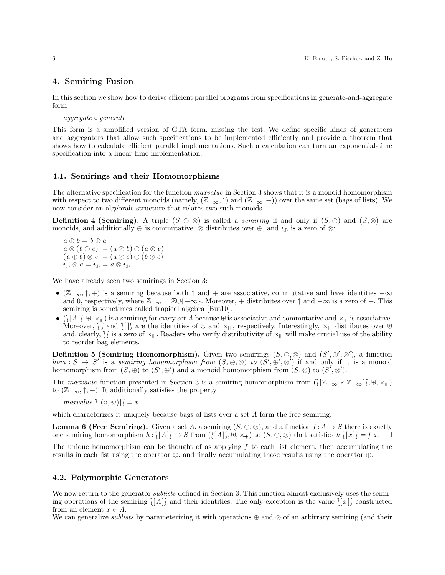## **4. Semiring Fusion**

In this section we show how to derive efficient parallel programs from specifications in generate-and-aggregate form:

```
aggregate ◦ generate
```
This form is a simplified version of GTA form, missing the test. We define specific kinds of generators and aggregators that allow such specifications to be implemented efficiently and provide a theorem that shows how to calculate efficient parallel implementations. Such a calculation can turn an exponential-time specification into a linear-time implementation.

#### **4.1. Semirings and their Homomorphisms**

The alternative specification for the function *maxvalue* in Section 3 shows that it is a monoid homomorphism with respect to two different monoids (namely,  $(\mathbb{Z}_{-\infty}, \uparrow)$  and  $(\mathbb{Z}_{-\infty}, +)$ ) over the same set (bags of lists). We now consider an algebraic structure that relates two such monoids.

**Definition 4 (Semiring).** A triple  $(S, \oplus, \otimes)$  is called a *semiring* if and only if  $(S, \oplus)$  and  $(S, \otimes)$  are monoids, and additionally *⊕* is commutative, *⊗* distributes over *⊕*, and *ı<sup>⊕</sup>* is a zero of *⊗*:

 $a \oplus b = b \oplus a$  $a \otimes (b \oplus c) = (a \otimes b) \oplus (a \otimes c)$  $(a \oplus b) \otimes c = (a \otimes c) \oplus (b \otimes c)$  $\iota$ ⊕ ⊗  $a = \iota$ ⊕ =  $a \otimes \iota$ ⊕

We have already seen two semirings in Section 3:

- *•* (Z*−∞, ↑,* +) is a semiring because both *↑* and + are associative, commutative and have identities *−∞* and 0, respectively, where Z*−∞* = Z*∪{−∞}*. Moreover, + distributes over *↑* and *−∞* is a zero of +. This semiring is sometimes called tropical algebra [But10].
- ( $([A]$ ,  $\forall$ ,  $\times$ <sub>++</sub>) is a semiring for every set *A* because  $\forall$  is associative and commutative and  $\times$ <sub>++</sub> is associative. Moreover,  $\iint$  and  $\iint$  are the identities of  $\forall$  and  $\times$ <sub>++</sub>, respectively. Interestingly,  $\times$ <sub>++</sub> distributes over  $\forall$ and, clearly,  $\int \int$  is a zero of  $x_{+}$ . Readers who verify distributivity of  $x_{+}$  will make crucial use of the ability to reorder bag elements.

**Definition 5 (Semiring Homomorphism).** Given two semirings  $(S, \oplus, \otimes)$  and  $(S', \oplus', \otimes')$ , a function  $hom: S \to S'$  is a semiring homomorphism from  $(S, \oplus, \otimes)$  to  $(S', \oplus', \otimes')$  if and only if it is a monoid homomorphism from  $(S, \oplus)$  to  $(S', \oplus')$  and a monoid homomorphism from  $(S, \otimes)$  to  $(S', \otimes')$ .

The *maxvalue* function presented in Section 3 is a semiring homomorphism from  $(|Z_{-\infty} \times Z_{-\infty}|, \theta, \times)$ to (Z*−∞, ↑,* +). It additionally satisfies the property

 $maxvalue$   $\left\{ \left[ \left( v, w \right) \right] \right\} = v$ 

which characterizes it uniquely because bags of lists over a set *A* form the free semiring.

**Lemma 6 (Free Semiring).** Given a set *A*, a semiring  $(S, \oplus, \otimes)$ , and a function  $f : A \rightarrow S$  there is exactly one semiring homomorphism  $h:([A]) \to S$  from  $([A], \forall, \times_{\mathbb{H}})$  to  $(S, \oplus, \otimes)$  that satisfies  $h \; [[x]] = f x$ .

The unique homomorphism can be thought of as applying *f* to each list element, then accumulating the results in each list using the operator *⊗*, and finally accumulating those results using the operator *⊕*.

#### **4.2. Polymorphic Generators**

We now return to the generator *sublists* defined in Section 3. This function almost exclusively uses the semiring operations of the semiring  $\frac{1}{A}$  and their identities. The only exception is the value  $\frac{1}{x}$  constructed from an element  $x \in A$ .

We can generalize *sublists* by parameterizing it with operations *⊕* and *⊗* of an arbitrary semiring (and their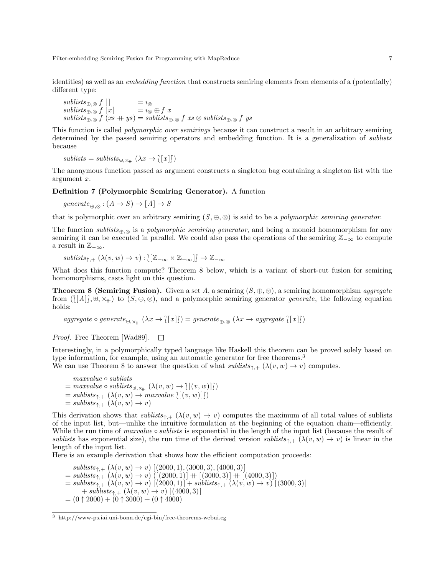identities) as well as an *embedding function* that constructs semiring elements from elements of a (potentially) different type:

 $sublists_{\oplus,\otimes} f$  [ ] =  $i_{\otimes}$  $sublists_{\oplus,\otimes} f[x] = i_{\otimes} \oplus f[x]$  $sublists_{\oplus,\otimes} f(xs + ys) = sublists_{\oplus,\otimes} f(xs \otimes sublists_{\oplus,\otimes} f(ys)$ 

This function is called *polymorphic over semirings* because it can construct a result in an arbitrary semiring determined by the passed semiring operators and embedding function. It is a generalization of *sublists* because

 $sublists = sublists_{H, \times_H} (\lambda x \rightarrow \{ [x] \})$ 

The anonymous function passed as argument constructs a singleton bag containing a singleton list with the argument *x* .

## **Definition 7 (Polymorphic Semiring Generator).** A function

 $generate_{\bigoplus, \otimes} : (A \rightarrow S) \rightarrow [A] \rightarrow S$ 

that is polymorphic over an arbitrary semiring  $(S, \oplus, \otimes)$  is said to be a *polymorphic semiring generator*.

The function *sublists⊕,<sup>⊗</sup>* is a *polymorphic semiring generator*, and being a monoid homomorphism for any semiring it can be executed in parallel. We could also pass the operations of the semiring Z*−∞* to compute a result in Z*−∞*.

 $sublists_{\uparrow,+}$   $(\lambda(v,w) \to v) : \{[\mathbb{Z}_{-\infty} \times \mathbb{Z}_{-\infty}]\} \to \mathbb{Z}_{-\infty}$ 

What does this function compute? Theorem 8 below, which is a variant of short-cut fusion for semiring homomorphisms, casts light on this question.

**Theorem 8 (Semiring Fusion).** Given a set A, a semiring  $(S, \oplus, \otimes)$ , a semiring homomorphism *aggregate* from  $([A]_+^{\mathcal{F}}, \mathbb{H}, \times_{\mathcal{H}}^{\mathcal{F}})$  to  $(S, \oplus, \otimes)$ , and a polymorphic semiring generator *generate*, the following equation holds:

 $\arg{arg}$  *aggregate*  $\circ$   $\text{generate}_{\Theta, \times_+} (\lambda x \to \text{[}x \text{]} \text{[}x \text{]} \text{[}x \to \text{ generate}_{\Theta, \otimes} (\lambda x \to \text{ aggregate } \text{[}x \text{]} \text{[}x \text{]})$ 

*Proof.* Free Theorem [Wad89].  $\Box$ 

Interestingly, in a polymorphically typed language like Haskell this theorem can be proved solely based on type information, for example, using an automatic generator for free theorems.<sup>3</sup>

We can use Theorem 8 to answer the question of what  $sublists_{\uparrow,+} (\lambda(v,w) \to v)$  computes.

 $maxvalue \circ$   $sublists$  $=$  *maxvalue*  $\circ$  *sublists*<sub> $\forall$ *+*</sub>  $(\lambda(v, w) \rightarrow \{[(v, w)]\})$  $=$  *sublists*<sub> $\uparrow$ </sub>,  $\downarrow$   $(\lambda(v, w) \rightarrow \text{maxvalue } [[(v, w)]])$ <br>  $=$  *sublists*<sub> $\uparrow$ </sub>,  $\downarrow$   $(\lambda(v, w) \rightarrow v)$ 

This derivation shows that  $sublists<sub>†,+</sub> (\lambda(v, w) \rightarrow v)$  computes the maximum of all total values of sublists of the input list, but—unlike the intuitive formulation at the beginning of the equation chain—efficiently.

While the run time of *maxvalue*  $\circ$  *sublists* is exponential in the length of the input list (because the result of *sublists* has exponential size), the run time of the derived version *sublists*<sup> $\uparrow$ </sup>, + ( $\lambda(v, w) \rightarrow v$ ) is linear in the length of the input list.

Here is an example derivation that shows how the efficient computation proceeds:

 $sublists_{\uparrow,+} (\lambda(v, w) \to v) [(2000, 1), (3000, 3), (4000, 3)]$  $=$  *sublists*<sub> $\uparrow$ †,  $(\lambda(v, w) \rightarrow v)$  ([(2000, 1)] + [(3000, 3)] + [(4000, 3)])</sub>  $=$  *sublists*<sub> $\uparrow$ †,  $(\lambda(v, w) \to v)$  [(2000, 1)] + *sublists*<sub> $\uparrow$ †,  $(\lambda(v, w) \to v)$  [(3000, 3)]</sub></sub>  $+$  *sublists*<sub> $\uparrow$ </sub>  $(\lambda(v, w) \rightarrow v)$  [(4000*,* 3)]  $= (0 \uparrow 2000) + (0 \uparrow 3000) + (0 \uparrow 4000)$ 

 $\frac{3 \text{ http://www-ps.iai.uni-bonn.de/cgi-bin/free-theorems-webui.cg}}{3 \text{ http://www-ps.iai.uni-bonn.de/cgi-bin/free-theorems-webui.cg}}$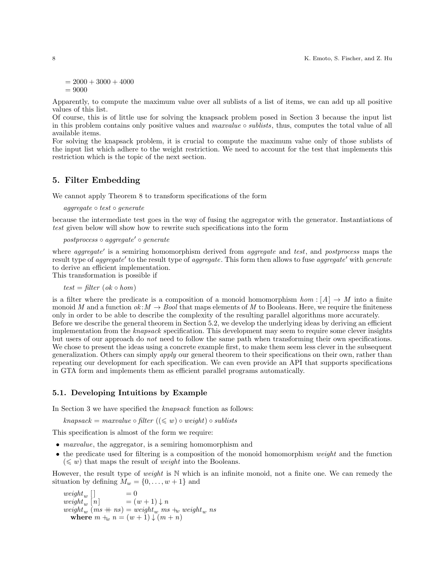$= 2000 + 3000 + 4000$  $= 9000$ 

Apparently, to compute the maximum value over all sublists of a list of items, we can add up all positive values of this list.

Of course, this is of little use for solving the knapsack problem posed in Section 3 because the input list in this problem contains only positive values and *maxvalue ◦ sublists*, thus, computes the total value of all available items.

For solving the knapsack problem, it is crucial to compute the maximum value only of those sublists of the input list which adhere to the weight restriction. We need to account for the test that implements this restriction which is the topic of the next section.

## **5. Filter Embedding**

We cannot apply Theorem 8 to transform specifications of the form

*aggregate ◦ test ◦ generate*

because the intermediate test goes in the way of fusing the aggregator with the generator. Instantiations of *test* given below will show how to rewrite such specifications into the form

```
postprocess ◦ aggregate′ ◦ generate
```
where *aggregate′* is a semiring homomorphism derived from *aggregate* and *test*, and *postprocess* maps the result type of *aggregate′* to the result type of *aggregate*. This form then allows to fuse *aggregate′* with *generate* to derive an efficient implementation.

This transformation is possible if

 $test = filter (ok \circ hom)$ 

is a filter where the predicate is a composition of a monoid homomorphism  $hom: [A] \rightarrow M$  into a finite monoid *M* and a function  $ok: M \to Bool$  that maps elements of *M* to Booleans. Here, we require the finiteness only in order to be able to describe the complexity of the resulting parallel algorithms more accurately. Before we describe the general theorem in Section 5.2, we develop the underlying ideas by deriving an efficient implementation from the *knapsack* specification. This development may seem to require some clever insights but users of our approach do *not* need to follow the same path when transforming their own specifications. We chose to present the ideas using a concrete example first, to make them seem less clever in the subsequent generalization. Others can simply *apply* our general theorem to their specifications on their own, rather than repeating our development for each specification. We can even provide an API that supports specifications in GTA form and implements them as efficient parallel programs automatically.

#### **5.1. Developing Intuitions by Example**

In Section 3 we have specified the *knapsack* function as follows:

 $k$ *napsack* =  $maxvalue \circ filter ((\leq w) \circ weight) \circ sublists$ 

This specification is almost of the form we require:

- *• maxvalue*, the aggregator, is a semiring homomorphism and
- the predicate used for filtering is a composition of the monoid homomorphism *weight* and the function  $(\leq w)$  that maps the result of *weight* into the Booleans.

However, the result type of *weight* is N which is an infinite monoid, not a finite one. We can remedy the situation by defining  $M_w = \{0, \ldots, w + 1\}$  and

 $\begin{array}{lll} weight_w & [ & = 0 \\ weight_w & [n] & = (i \\ \end{array}$  $=(w+1) \downarrow n$  $weight_w$   $(ms + ns) = weight_w$   $ms +_w weight_w$  *ns* **where**  $m +_w n = (w + 1) \downarrow (m + n)$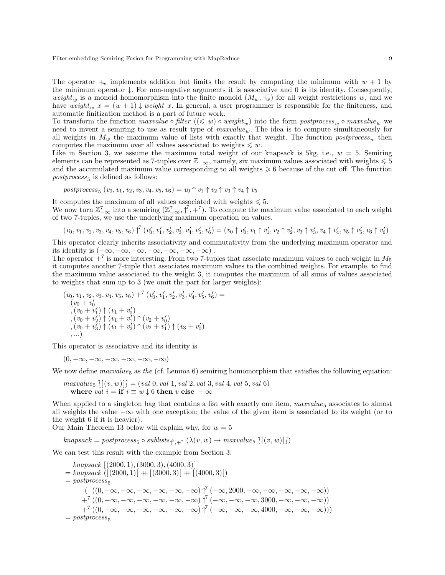The operator  $+_{w}$  implements addition but limits the result by computing the minimum with  $w + 1$  by the minimum operator *↓*. For non-negative arguments it is associative and 0 is its identity. Consequently, *weight<sub>w</sub>* is a monoid homomorphism into the finite monoid  $(M_w, +_w)$  for all weight restrictions *w*, and we have  $weight_w x = (w + 1) \downarrow weight x$ . In general, a user programmer is responsible for the finiteness, and automatic finitization method is a part of future work.

To transform the function  $maxvalue \circ filter ((\leq w) \circ weight_w)$  into the form  $postprocess_w \circ maximize_w$  we need to invent a semiring to use as result type of *maxvaluew*. The idea is to compute simultaneously for all weights in  $M_w$  the maximum value of lists with exactly that weight. The function *postprocess<sub>w</sub>* then computes the maximum over all values associated to weights  $\leq w$ .

Like in Section 3, we assume the maximum total weight of our knapsack is 5kg, i.e.,  $w = 5$ . Semiring elements can be represented as 7-tuples over  $\mathbb{Z}_{-\infty}$ , namely, six maximum values associated with weights ≤ 5 and the accumulated maximum value corresponding to all weights  $\geq 6$  because of the cut off. The function  $postprocess<sub>5</sub>$  is defined as follows:

$$
postprocess_{5}(v_{0}, v_{1}, v_{2}, v_{3}, v_{4}, v_{5}, v_{6}) = v_{0} \uparrow v_{1} \uparrow v_{2} \uparrow v_{3} \uparrow v_{4} \uparrow v_{5}
$$

It computes the maximum of all values associated with weights  $\leq 5$ .

We now turn  $\mathbb{Z}_{-\infty}^7$  into a semiring  $(\mathbb{Z}_{-\infty}^7, \uparrow^7, +^7)$ . To compute the maximum value associated to each weight of two 7-tuples, we use the underlying maximum operation on values.

$$
(v_0, v_1, v_2, v_3, v_4, v_5, v_6) \uparrow^7 (v_0', v_1', v_2', v_3', v_4', v_5', v_6') = (v_0 \uparrow v_0', v_1 \uparrow v_1', v_2 \uparrow v_2', v_3 \uparrow v_3', v_4 \uparrow v_4', v_5 \uparrow v_5', v_6 \uparrow v_6')
$$

This operator clearly inherits associativity and commutativity from the underlying maximum operator and its identity is  $(-\infty, -\infty, -\infty, -\infty, -\infty, -\infty, -\infty)$ .

The operator  $+^7$  is more interesting. From two 7-tuples that associate maximum values to each weight in  $M_5$ it computes another 7-tuple that associates maximum values to the combined weights. For example, to find the maximum value associated to the weight 3, it computes the maximum of all sums of values associated to weights that sum up to 3 (we omit the part for larger weights):

$$
(v_0, v_1, v_2, v_3, v_4, v_5, v_6) +^7 (v'_0, v'_1, v'_2, v'_3, v'_4, v'_5, v'_6) =
$$
  
\n
$$
(v_0 + v'_0)
$$
  
\n
$$
(v_0 + v'_1) \uparrow (v_1 + v'_0)
$$
  
\n
$$
(v_0 + v'_2) \uparrow (v_1 + v'_1) \uparrow (v_2 + v'_0)
$$
  
\n
$$
(v_0 + v'_3) \uparrow (v_1 + v'_2) \uparrow (v_2 + v'_1) \uparrow (v_3 + v'_0)
$$
  
\n,...)

This operator is associative and its identity is

(0*, −∞, −∞, −∞, −∞, −∞, −∞*)

We now define  $maxvalue_5$  as *the* (cf. Lemma 6) semiring homomorphism that satisfies the following equation:

 $maxvalue_5$   $[(v, w)] \subseteq (val\ 0, val\ 1, val\ 2, val\ 3, val\ 4, val\ 5, val\ 6)$ **where** *val*  $i =$  **if**  $i \equiv w \downarrow 6$  **then**  $v$  **else**  $-\infty$ 

When applied to a singleton bag that contains a list with exactly one item,  $maxvalue_5$  associates to almost all weights the value *−∞* with one exception: the value of the given item is associated to its weight (or to the weight 6 if it is heavier).

Our Main Theorem 13 below will explain why, for  $w = 5$ 

 $k$ *napsack* =  $postprocess_{5} \circ sublists_{\uparrow} \tau, +\tau \ (\lambda(v, w) \to maxvalues_{5} \ ([v, w)]))$ 

We can test this result with the example from Section 3:

*knapsack* [(2000*,* 1)*,*(3000*,* 3)*,*(4000*,* 3)]  $=$  knapsack  $([(2000, 1)] + [(3000, 3)] + [(4000, 3)])$  $= postprocess<sub>5</sub>$  $((0, -\infty, -\infty, -\infty, -\infty, -\infty, -\infty, -\infty) \dagger^{7} (-\infty, 2000, -\infty, -\infty, -\infty, -\infty, -\infty))$  $+^{7}((0,-\infty,-\infty,-\infty,-\infty,-\infty,-\infty)$   $\uparrow^{7}(-\infty,-\infty,-\infty,3000,-\infty,-\infty,-\infty))$  $+^{7}((0,-\infty,-\infty,-\infty,-\infty,-\infty,-\infty)$   $\uparrow^{7}(-\infty,-\infty,-\infty,4000,-\infty,-\infty,-\infty)))$  $= postprocess<sub>5</sub>$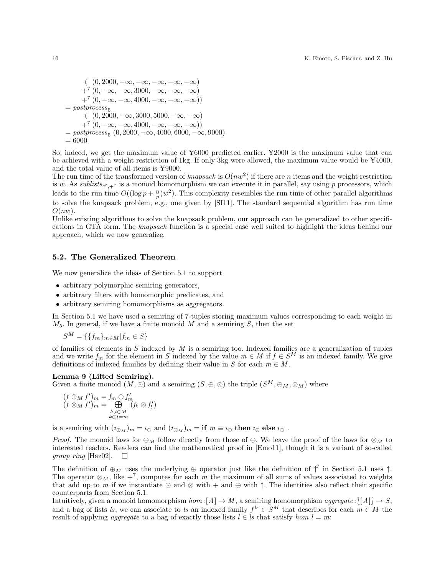$$
(\n(0, 2000, -\infty, -\infty, -\infty, -\infty, -\infty) \n+^7 (0, -\infty, -\infty, 3000, -\infty, -\infty, -\infty) \n+^7 (0, -\infty, -\infty, 4000, -\infty, -\infty, -\infty)) \n= postprocess5 \n(0, 2000, -\infty, 3000, 5000, -\infty, -\infty) \n+^7 (0, -\infty, -\infty, 4000, -\infty, -\infty, -\infty)) \n= postprocess5 (0, 2000, -\infty, 4000, 6000, -\infty, 9000) \n= 6000
$$

So, indeed, we get the maximum value of ¥6000 predicted earlier. ¥2000 is the maximum value that can be achieved with a weight restriction of 1kg. If only 3kg were allowed, the maximum value would be ¥4000, and the total value of all items is ¥9000.

The run time of the transformed version of  $knapsack$  is  $O(nw^2)$  if there are *n* items and the weight restriction is *w*. As *sublists<sup>↑</sup>* <sup>7</sup>*,*+<sup>7</sup> is a monoid homomorphism we can execute it in parallel, say using *p* processors, which leads to the run time  $O((\log p + \frac{n}{p})w^2)$ . This complexity resembles the run time of other parallel algorithms to solve the knapsack problem, e.g., one given by [SI11]. The standard sequential algorithm has run time *O*(*nw*).

Unlike existing algorithms to solve the knapsack problem, our approach can be generalized to other specifications in GTA form. The *knapsack* function is a special case well suited to highlight the ideas behind our approach, which we now generalize.

## **5.2. The Generalized Theorem**

We now generalize the ideas of Section 5.1 to support

- arbitrary polymorphic semiring generators,
- *•* arbitrary filters with homomorphic predicates, and
- arbitrary semiring homomorphisms as aggregators.

In Section 5.1 we have used a semiring of 7-tuples storing maximum values corresponding to each weight in *M*5. In general, if we have a finite monoid *M* and a semiring *S*, then the set

$$
S^M = \{\{f_m\}_{m \in M} | f_m \in S\}
$$

of families of elements in *S* indexed by *M* is a semiring too. Indexed families are a generalization of tuples and we write  $f_m$  for the element in *S* indexed by the value  $m \in M$  if  $f \in S^M$  is an indexed family. We give definitions of indexed families by defining their value in *S* for each  $m \in M$ .

## **Lemma 9 (Lifted Semiring).**

Given a finite monoid  $(M, \odot)$  and a semiring  $(S, \oplus, \otimes)$  the triple  $(S^M, \oplus_M, \otimes_M)$  where

$$
(f \oplus_M f')_m = f_m \oplus f'_m
$$
  
\n
$$
(f \otimes_M f')_m = \bigoplus_{\substack{k,l \in M \\ k \odot l = m}} (f_k \otimes f'_l)
$$

is a semiring with  $(\iota_{\bigoplus_M})_m = \iota_{\bigoplus}$  and  $(\iota_{\bigotimes_M})_m = \textbf{if } m \equiv \iota_{\bigodot}$  **then**  $\iota_{\bigotimes}$  **else**  $\iota_{\bigoplus}$ .

*Proof.* The monoid laws for  $\oplus_M$  follow directly from those of  $\oplus$ . We leave the proof of the laws for  $\otimes_M$  to interested readers. Readers can find the mathematical proof in [Emo11], though it is a variant of so-called *group ring* [Haz02].  $\square$ 

The definition of  $\oplus_M$  uses the underlying  $\oplus$  operator just like the definition of  $\uparrow^7$  in Section 5.1 uses  $\uparrow$ . The operator  $\otimes_M$ , like  $+^7$ , computes for each *m* the maximum of all sums of values associated to weights that add up to *m* if we instantiate  $\odot$  and  $\otimes$  with  $+$  and  $\oplus$  with  $\uparrow$ . The identities also reflect their specific counterparts from Section 5.1.

Intuitively, given a monoid homomorphism  $hom:[A] \to M$ , a semiring homomorphism *aggregate* : $[[A]] \to S$ , and a bag of lists *ls*, we can associate to *ls* an indexed family  $f^{ls} \in S^M$  that describes for each  $m \in M$  the result of applying *aggregate* to a bag of exactly those lists  $l \in \mathcal{L}$  is that satisfy *hom*  $l = m$ :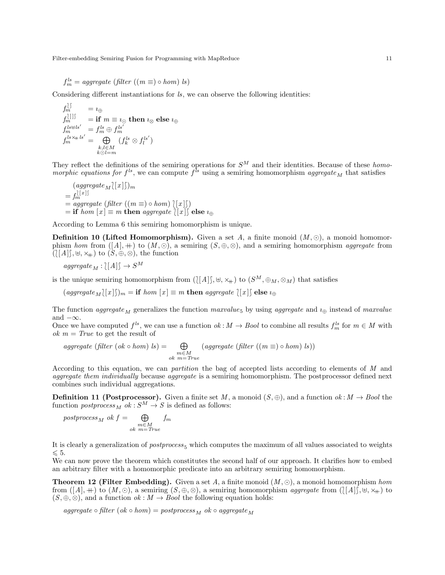$$
f_m^{ls} = aggregate (filter ((m \equiv) \circ hom) ls)
$$

Considering different instantiations for *ls*, we can observe the following identities:

$$
\begin{array}{ll} f_m^{(1)} & = \imath_\oplus \\ f_m^{(1)} & = \textbf{if } m \equiv \imath_\odot \textbf{ then } \imath_\otimes \textbf{ else } \imath_\oplus \\ f_m^{ls} \uplus l s' & = f_m^{ls} \oplus f_m^{ls'} \\ f_m^{ls \times \! +ls'} & = \bigoplus_{\substack{k,l \in M \\ k \odot l = m}} (f_k^{ls} \otimes f_l^{ls'}) \end{array}
$$

They reflect the definitions of the semiring operations for *S<sup>M</sup>* and their identities. Because of these *homomorphic equations for*  $f^{ls}$ , we can compute  $f^{ls}$  using a semiring homomorphism *aggregate<sub>M</sub>* that satisfies

$$
(aggregate_M[[x]]_m
$$
  
=  $f_m^{\{[x]\}}$   
= aggregate (filter ((m ≡) o hom) ([x]])  
= if hom [x] ≡ m then aggregate [[x]] else  $i_{\oplus}$ 

According to Lemma 6 this semiring homomorphism is unique.

**Definition 10 (Lifted Homomorphism).** Given a set A, a finite monoid  $(M, \odot)$ , a monoid homomorphism *hom* from  $([A], +)$  to  $(M, \odot)$ , a semiring  $(S, \oplus, \otimes)$ , and a semiring homomorphism *aggregate* from  $(([A]$ ,  $\uplus$ ,  $\times$ <sub>\t+</sub>) to (*S*,  $\oplus$ ,  $\otimes$ ), the function

 ${aggregate _M}: \mathcal{\{[}A]\} \rightarrow S^M$ 

is the unique semiring homomorphism from  $(|[A|], \forall, \times_{\mathbb{H}})$  to  $(S^M, \forall M, \otimes_M)$  that satisfies

 $(\text{aggregate } M)[x])_m = \textbf{if } \text{hom } [x] \equiv m \textbf{ then } \text{ aggregate } [x] \in \text{else } \iota_{\bigoplus}$ 

The function *aggregate*<sub>*M*</sub> generalizes the function  $maxvalue_5$  by using *aggregate* and  $i_{\oplus}$  instead of  $maxvalue$ and  $-\infty$ .

Once we have computed  $f^{ls}$ , we can use a function  $ok: M \to Bool$  to combine all results  $f_m^{ls}$  for  $m \in M$  with *ok m* = *True* to get the result of

$$
aggregate (filter (ok \circ hom) ls) = \bigoplus_{\substack{m \in M \\ ok m = True}} (aggregate (filter ((m \equiv) \circ hom) ls))
$$

According to this equation, we can *partition* the bag of accepted lists according to elements of *M* and *aggregate them individually* because *aggregate* is a semiring homomorphism. The postprocessor defined next combines such individual aggregations.

**Definition 11 (Postprocessor).** Given a finite set *M*, a monoid  $(S, \oplus)$ , and a function  $ok: M \rightarrow Bool$  the function  $postprocess_M$   $ok: S^M \to S$  is defined as follows:

$$
postprocess_M \; ok \; f = \bigoplus_{\substack{m \in M \\ ok \; m = True}} f_m
$$

It is clearly a generalization of *postprocess*<sub>5</sub> which computes the maximum of all values associated to weights  $\leqslant 5$ .

We can now prove the theorem which constitutes the second half of our approach. It clarifies how to embed an arbitrary filter with a homomorphic predicate into an arbitrary semiring homomorphism.

**Theorem 12 (Filter Embedding).** Given a set *A*, a finite monoid (*M , ⊙*), a monoid homomorphism *hom* from  $([A], +)$  to  $(M, \odot)$ , a semiring  $(S, \oplus, \otimes)$ , a semiring homomorphism *aggregate* from  $([A], \oplus, \times_+)$  to  $(S, \oplus, \otimes)$ , and a function *ok* : *M*  $\rightarrow$  *Bool* the following equation holds:

 $aggregate \circ filter (ok \circ hom) = postprocess_M \, ok \circ aggregate_M$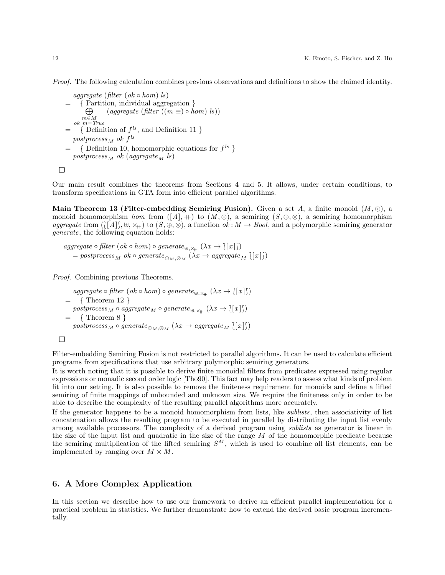*Proof.* The following calculation combines previous observations and definitions to show the claimed identity.

*aggregate* (*filter* (*ok ◦ hom*) *ls*) = *{* Partition, individual aggregation *}* ⊕ *m∈M ok m*=*True*  $(aggregate (filter ((m \equiv) \circ hom) \text{ } ls))$  $=$  { Definition of  $f^{ls}$ , and Definition 11 } *postprocess<sup>M</sup> ok f ls* = *{* Definition 10, homomorphic equations for *f ls }*  $postprocess<sub>M</sub>$  *ok* ( $aggregate<sub>M</sub>$  *ls*)

 $\Box$ 

Our main result combines the theorems from Sections 4 and 5. It allows, under certain conditions, to transform specifications in GTA form into efficient parallel algorithms.

**Main Theorem 13 (Filter-embedding Semiring Fusion).** Given a set *A*, a finite monoid (*M , ⊙*), a monoid homomorphism *hom* from  $([A], +)$  to  $(M, \odot)$ , a semiring  $(S, \oplus, \otimes)$ , a semiring homomorphism *aggregate* from  $(|[A|], \mathbf{H}, \mathbf{x}_+)$  to  $(S, \hat{\mathbf{\Theta}}, \hat{\mathbf{\Theta}})$ , a function  $ok : M \to \text{Bool}$ , and a polymorphic semiring generator *generate*, the following equation holds:

*aggregate*  $\circ$  *filter* (*ok*  $\circ$  *hom*)  $\circ$  *generate*<sub> $\uplus$ ,  $\times$ <sup> $\downarrow$ </sup> (*λx* →  $\{[x]\}$ )</sub>  $=$  *postprocess*<sub>*M*</sub> ok  $\circ$  generate<sub> $\oplus_M$ </sub>  $\otimes_M$  ( $\lambda x \rightarrow$  aggregate<sub>*M*</sub> [[x]]</sub>)

*Proof.* Combining previous Theorems.

*aggregate*  $\circ$  *filter* (*ok*  $\circ$  *hom*)  $\circ$  *generate*<sub> $\uplus, \times_{\text{H}}$  ( $\lambda x \to \text{[}x\text{]}$ ))</sub> = *{* Theorem 12 *}*  $postprocess_M \circ aggregate_M \circ generate_{\forall x, x} (\lambda x \rightarrow \{[x]\})$ = *{* Theorem 8 *}*  $postprocess_M \circ generate_{\bigoplus M, \otimes_M} (\lambda x \rightarrow aggregate_M \downharpoonright [x])$ 

Filter-embedding Semiring Fusion is not restricted to parallel algorithms. It can be used to calculate efficient programs from specifications that use arbitrary polymorphic semiring generators.

It is worth noting that it is possible to derive finite monoidal filters from predicates expressed using regular expressions or monadic second order logic [Tho90]. This fact may help readers to assess what kinds of problem fit into our setting. It is also possible to remove the finiteness requirement for monoids and define a lifted semiring of finite mappings of unbounded and unknown size. We require the finiteness only in order to be able to describe the complexity of the resulting parallel algorithms more accurately.

If the generator happens to be a monoid homomorphism from lists, like *sublists*, then associativity of list concatenation allows the resulting program to be executed in parallel by distributing the input list evenly among available processors. The complexity of a derived program using *sublists* as generator is linear in the size of the input list and quadratic in the size of the range *M* of the homomorphic predicate because the semiring multiplication of the lifted semiring  $S^M$ , which is used to combine all list elements, can be implemented by ranging over  $M \times M$ .

# **6. A More Complex Application**

In this section we describe how to use our framework to derive an efficient parallel implementation for a practical problem in statistics. We further demonstrate how to extend the derived basic program incrementally.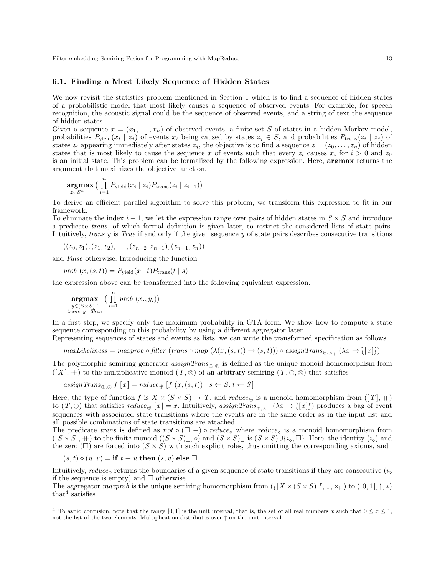#### **6.1. Finding a Most Likely Sequence of Hidden States**

We now revisit the statistics problem mentioned in Section 1 which is to find a sequence of hidden states of a probabilistic model that most likely causes a sequence of observed events. For example, for speech recognition, the acoustic signal could be the sequence of observed events, and a string of text the sequence of hidden states.

Given a sequence  $x = (x_1, \ldots, x_n)$  of observed events, a finite set *S* of states in a hidden Markov model, probabilities  $P_{yield}(x_i \mid z_j)$  of events  $x_i$  being caused by states  $z_j \in S$ , and probabilities  $P_{trans}(z_i \mid z_j)$  of states  $z_i$  appearing immediately after states  $z_j$ , the objective is to find a sequence  $z = (z_0, \ldots, z_n)$  of hidden states that is most likely to cause the sequence *x* of events such that every  $z_i$  causes  $x_i$  for  $i > 0$  and  $z_0$ is an initial state. This problem can be formalized by the following expression. Here, **argmax** returns the argument that maximizes the objective function.

$$
\underset{z \in S^{n+1}}{\operatorname{argmax}} \left( \prod_{i=1}^{n} P_{\text{yield}}(x_i \mid z_i) P_{\text{trans}}(z_i \mid z_{i-1}) \right)
$$

To derive an efficient parallel algorithm to solve this problem, we transform this expression to fit in our framework.

To eliminate the index  $i - 1$ , we let the expression range over pairs of hidden states in  $S \times S$  and introduce a predicate *trans*, of which formal definition is given later, to restrict the considered lists of state pairs. Intuitively, *trans y* is *True* if and only if the given sequence *y* of state pairs describes consecutive transitions

$$
((z_0, z_1), (z_1, z_2), \ldots, (z_{n-2}, z_{n-1}), (z_{n-1}, z_n))
$$

and *False* otherwise. Introducing the function

 $prob(x, (s,t)) = P_{yield}(x | t) P_{trans}(t | s)$ 

the expression above can be transformed into the following equivalent expression.

$$
\underset{\substack{y \in (S \times S)^n \\ \text{trans } y = True}}{\text{argmax}} \left( \prod_{i=1}^n \text{prob}(x_i, y_i) \right)
$$

In a first step, we specify only the maximum probability in GTA form. We show how to compute a state sequence corresponding to this probability by using a different aggregator later.

Representing sequences of states and events as lists, we can write the transformed specification as follows.

 $maxLikelines = maxprob \circ filter \ (trans \circ map \ (\lambda(x, (s, t)) \to (s, t))) \circ assignTrans_{\forall s, x_{\#}} \ (\lambda x \to \langle [x] \rangle)$ 

The polymorphic semiring generator *assignTrans⊕,<sup>⊗</sup>* is defined as the unique monoid homomorphism from  $([X], +)$  to the multiplicative monoid  $(T, \otimes)$  of an arbitrary semiring  $(T, \oplus, \otimes)$  that satisfies

 $assignTrans_{\oplus,\otimes} f[x] = reduce_{\oplus} [f(x, (s,t)) | s \leftarrow S, t \leftarrow S]$ 

Here, the type of function *f* is  $X \times (S \times S) \to T$ , and  $reduce_{\oplus}$  is a monoid homomorphism from  $([T], +)$ to  $(T, \oplus)$  that satisfies  $reduce_{\oplus} [x] = x$ . Intuitively,  $assignTrans_{\oplus, \times_{\oplus}} (\lambda x \rightarrow ([x])$  produces a bag of event sequences with associated state transitions where the events are in the same order as in the input list and all possible combinations of state transitions are attached.

The predicate *trans* is defined as  $not \circ (\square \equiv) \circ reduce_{\diamond}$  where  $reduce_{\diamond}$  is a monoid homomorphism from  $([S \times S], +)$  to the finite monoid  $((S \times S)_{\square}, \diamond)$  and  $(S \times S)_{\square}$  is  $(S \times S) \cup \{i_{\diamond}, \square\}$ . Here, the identity  $(i_{\diamond})$  and the zero  $(\Box)$  are forced into  $(S \times S)$  with such explicit roles, thus omitting the corresponding axioms, and

 $(s, t) \diamond (u, v) = \textbf{if } t \equiv u \textbf{ then } (s, v) \textbf{ else } \Box$ 

Intuitively, *reduce<sup>⋄</sup>* returns the boundaries of a given sequence of state transitions if they are consecutive (*ı<sup>⋄</sup>* if the sequence is empty) and  $\square$  otherwise.

The aggregator *maxprob* is the unique semiring homomorphism from  $(|[X \times (S \times S)]|, \forall, \times)$  to  $([0, 1], \uparrow, *)$ that<sup>4</sup> satisfies

 $\frac{4}{4}$  To avoid confusion, note that the range [0, 1] is the unit interval, that is, the set of all real numbers *x* such that  $0 \le x \le 1$ , not the list of the two elements. Multiplication distributes over *↑* on the unit interval.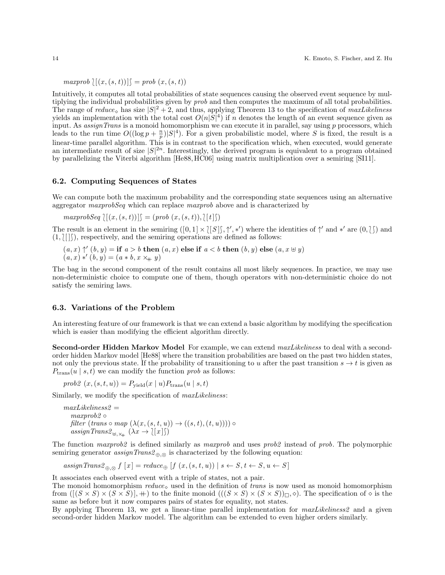$maxprob \; |[(x, (s, t))] \in prob \; (x, (s, t))$ 

Intuitively, it computes all total probabilities of state sequences causing the observed event sequence by multiplying the individual probabilities given by *prob* and then computes the maximum of all total probabilities. The range of  $reduce_{\diamond}$  has size  $|S|^2 + 2$ , and thus, applying Theorem 13 to the specification of  $maxLikelines$ yields an implementation with the total cost  $O(n|S|^4)$  if *n* denotes the length of an event sequence given as input. As *assignTrans* is a monoid homomorphism we can execute it in parallel, say using *p* processors, which leads to the run time  $O((\log p + \frac{n}{p})|S|^4)$ . For a given probabilistic model, where *S* is fixed, the result is a linear-time parallel algorithm. This is in contrast to the specification which, when executed, would generate an intermediate result of size  $|S|^{2n}$ . Interestingly, the derived program is equivalent to a program obtained by parallelizing the Viterbi algorithm [He88, HC06] using matrix multiplication over a semiring [SI11].

## **6.2. Computing Sequences of States**

We can compute both the maximum probability and the corresponding state sequences using an alternative aggregator *maxprobSeq* which can replace *maxprob* above and is characterized by

$$
maxprobSeq [[(x,(s,t))]] = (prob (x,(s,t)), [[t]])
$$

The result is an element in the semiring  $([0,1] \times [S] \mathcal{F}, \uparrow', \ast')$  where the identities of  $\uparrow'$  and  $\ast'$  are  $(0, \mathcal{F})$  and  $(1, 2\mathcal{F}, \mathcal{F})$  are  $(1, 2\mathcal{F}, \mathcal{F})$  and  $(1, 2\mathcal{F}, \mathcal{F})$  are  $(2, \mathcal{F})$  and  $(3,$  $(1, \mathcal{V}[\mathcal{V}])$ , respectively, and the semiring operations are defined as follows:

$$
(a, x) \uparrow' (b, y) =
$$
 if  $a > b$  then  $(a, x)$  else if  $a < b$  then  $(b, y)$  else  $(a, x \uplus y)$   
 $(a, x) *' (b, y) = (a * b, x \times_{\mathbb{H}} y)$ 

The bag in the second component of the result contains all most likely sequences. In practice, we may use non-deterministic choice to compute one of them, though operators with non-deterministic choice do not satisfy the semiring laws.

## **6.3. Variations of the Problem**

An interesting feature of our framework is that we can extend a basic algorithm by modifying the specification which is easier than modifying the efficient algorithm directly.

**Second-order Hidden Markov Model** For example, we can extend *maxLikeliness* to deal with a secondorder hidden Markov model [He88] where the transition probabilities are based on the past two hidden states, not only the previous state. If the probability of transitioning to *u* after the past transition  $s \to t$  is given as  $P_{trans}(u \mid s, t)$  we can modify the function *prob* as follows:

*prob2*  $(x, (s,t,u)) = P_{yield}(x | u) P_{trans}(u | s,t)$ 

Similarly, we modify the specification of *maxLikeliness*:

*maxLikeliness2* = *maxprob2 ◦*  $fitter \ (trans \circ map \ (\lambda(x, (s, t, u)) \rightarrow ((s, t), (t, u)))) \circ$  $assignTrans2_{\forall} (\lambda x \rightarrow \{[x]\})$ 

The function *maxprob2* is defined similarly as *maxprob* and uses *prob2* instead of *prob*. The polymorphic semiring generator  $assignTrans2_{ \oplus \odot}$  is characterized by the following equation:

 $assignTrans2_{\bigoplus, \otimes} f[x] = reduce_{\bigoplus} [f(x, (s, t, u)) | s \leftarrow S, t \leftarrow S, u \leftarrow S]$ 

It associates each observed event with a triple of states, not a pair.

The monoid homomorphism *reduce<sup>⋄</sup>* used in the definition of *trans* is now used as monoid homomorphism from  $([S \times S) \times (S \times S)],$  + to the finite monoid  $(((S \times S) \times (S \times S))]_{\square}$ . same as before but it now compares pairs of states for equality, not states.

By applying Theorem 13, we get a linear-time parallel implementation for *maxLikeliness2* and a given second-order hidden Markov model. The algorithm can be extended to even higher orders similarly.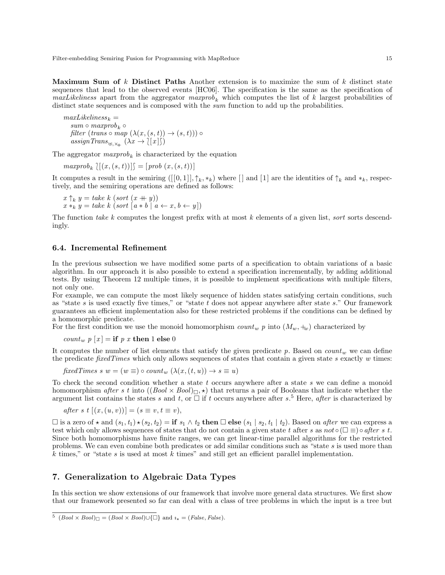**Maximum Sum of** *k* **Distinct Paths** Another extension is to maximize the sum of *k* distinct state sequences that lead to the observed events [HC06]. The specification is the same as the specification of *maxLikeliness* apart from the aggregator *maxprob<sup>k</sup>* which computes the list of *k* largest probabilities of distinct state sequences and is composed with the *sum* function to add up the probabilities.

```
maxLikelines<sub>k</sub> =sum \circ maxprob_k \circfitter \ (trans \circ map \ (\lambda(x,(s,t)) \to (s,t))) \circassignTrans_{\forall x} (\lambda x \rightarrow \{[x]\})
```
The aggregator  $\{m \in \mathbb{R}^n\}$  is characterized by the equation

 $maxprob_k \left[ (x, (s, t)) \right]$  $\left[ \right] = \left[ prob(x, (s, t)) \right]$ 

It computes a result in the semiring  $([[0,1]], \uparrow_k, *_k)$  where  $[]$  and  $[1]$  are the identities of  $\uparrow_k$  and  $*_k$ , respectively, and the semiring operations are defined as follows:

 $x \uparrow_k y = \text{take } k \text{ (sort } (x + y))$ *x* \**k y* = *take k* (*sort* [*a* \* *b* | *a* ← *x*, *b* ← *y*])

The function *take k* computes the longest prefix with at most *k* elements of a given list, *sort* sorts descendingly.

## **6.4. Incremental Refinement**

In the previous subsection we have modified some parts of a specification to obtain variations of a basic algorithm. In our approach it is also possible to extend a specification incrementally, by adding additional tests. By using Theorem 12 multiple times, it is possible to implement specifications with multiple filters, not only one.

For example, we can compute the most likely sequence of hidden states satisfying certain conditions, such as "state *s* is used exactly five times," or "state *t* does not appear anywhere after state *s*." Our framework guarantees an efficient implementation also for these restricted problems if the conditions can be defined by a homomorphic predicate.

For the first condition we use the monoid homomorphism  $count_w$  *p* into  $(M_w, +_w)$  characterized by

*count<sub>w</sub>*  $p[x] =$  **if**  $p[x]$  **then** 1 **else** 0

It computes the number of list elements that satisfy the given predicate *p*. Based on *count<sup>w</sup>* we can define the predicate *fixedTimes* which only allows sequences of states that contain a given state *s* exactly *w* times:

$$
fixedTimes \ s \ w = (w \equiv) \circ count_w \ (\lambda(x, (t, u)) \rightarrow s \equiv u)
$$

To check the second condition whether a state *t* occurs anywhere after a state *s* we can define a monoid homomorphism *after s t* into  $((Bool \times Bool)_{\square}, \star)$  that returns a pair of Booleans that indicate whether the argument list contains the states *s* and *t*, or  $\overline{\Box}$  if *t* occurs anywhere after *s*.<sup>5</sup> Here, *after* is characterized by

 $after s t [(x, (u, v))] = (s \equiv v, t \equiv v),$ 

 $\square$  is a zero of  $\star$  and  $(s_1, t_1) \star (s_2, t_2) =$  if  $s_1 \wedge t_2$  then  $\square$  else  $(s_1 \mid s_2, t_1 \mid t_2)$ . Based on *after* we can express a test which only allows sequences of states that do not contain a given state *t* after *s* as  $not \circ (\square \equiv) \circ after \ s \ t$ . Since both homomorphisms have finite ranges, we can get linear-time parallel algorithms for the restricted problems. We can even combine both predicates or add similar conditions such as "state *s* is used more than *k* times," or "state *s* is used at most *k* times" and still get an efficient parallel implementation.

# **7. Generalization to Algebraic Data Types**

In this section we show extensions of our framework that involve more general data structures. We first show that our framework presented so far can deal with a class of tree problems in which the input is a tree but

 $^5$   $(Bool \times Bool)$   $\Box$  =  $(Bool \times Bool) \cup {\Box}$  and  $\iota_{\star}$  =  $(False, False)$ .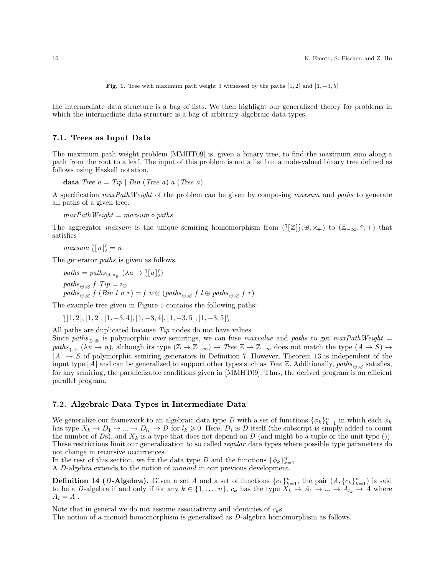**Fig. 1.** Tree with maximum path weight 3 witnessed by the paths [1*,* 2] and [1*, −*3*,* 5]

the intermediate data structure is a bag of lists. We then highlight our generalized theory for problems in which the intermediate data structure is a bag of arbitrary algebraic data types.

#### **7.1. Trees as Input Data**

The maximum path weight problem [MMHT09] is, given a binary tree, to find the maximum sum along a path from the root to a leaf. The input of this problem is not a list but a node-valued binary tree defined as follows using Haskell notation.

**data** *Tree*  $a = Tip | Bin (Tree a) a (Tree a)$ 

A specification *maxPathWeight* of the problem can be given by composing *maxsum* and *paths* to generate all paths of a given tree.

 $maxPathWeight = maxsum \circ paths$ 

The aggregator *maxsum* is the unique semiring homomorphism from  $(|Z|, \theta, \times_{\theta})$  to  $(Z_{-\infty}, \uparrow, +)$  that satisfies

 $maxsum \; |[n]| = n$ 

The generator *paths* is given as follows.

 $paths = paths_{\forall x, x_{+}} (\lambda a \rightarrow \text{[}[a]\text{])}$ *paths*<sup>⊕</sup>.⊗</sub> *f*  $Tip = i$ <sup>⊗</sup> *paths*<sup>*⊕*</sup>, $\otimes$ *f* (*Bin l n r*) = *f n*  $\otimes$  (*paths*<sub> $\oplus$ </sub>  $\otimes$  *f l*  $\oplus$  *paths*<sub> $\oplus$ </sub>  $\otimes$  *f r*)

The example tree given in Figure 1 contains the following paths:

\*[1*,* 2]*,* [1*,* 2]*,* [1*, <sup>−</sup>*3*,* 4]*,* [1*, <sup>−</sup>*3*,* 4]*,* [1*, <sup>−</sup>*3*,* 5]*,* [1*, <sup>−</sup>*3*,* 5]<sup>+</sup>

All paths are duplicated because *Tip* nodes do not have values.

Since *paths*<sub> $\oplus$ </sub> is polymorphic over semirings, we can fuse *maxvalue* and *paths* to get *maxPathWeight* =  $paths_{\uparrow,\pm}$  ( $\lambda n \to n$ ), although its type ( $\mathbb{Z} \to \mathbb{Z}_{-\infty}$ )  $\to$  *Tree*  $\mathbb{Z} \to \mathbb{Z}_{-\infty}$  does not match the type ( $A \to S$ )  $\to$  $[A] \rightarrow S$  of polymorphic semiring generators in Definition 7. However, Theorem 13 is independent of the input type  $[A]$  and can be generalized to support other types such as *Tree* Z. Additionally, *paths*<sub> $\oplus$ </sub>  $\otimes$  satisfies, for any semiring, the parallelizable conditions given in [MMHT09]. Thus, the derived program is an efficient parallel program.

#### **7.2. Algebraic Data Types in Intermediate Data**

We generalize our framework to an algebraic data type *D* with a set of functions  $\{\phi_k\}_{k=1}^n$  in which each  $\phi_k$ has type  $X_k \to D_1 \to \dots \to D_{l_k} \to D$  for  $l_k \geq 0$ . Here,  $D_i$  is D itself (the subscript is simply added to count the number of  $D$ s), and  $X_k$  is a type that does not depend on  $D$  (and might be a tuple or the unit type ()). These restrictions limit our generalization to so called *regular* data types where possible type parameters do not change in recursive occurrences.

In the rest of this section, we fix the data type *D* and the functions  $\{\phi_k\}_{k=1}^n$ .

A *D*-algebra extends to the notion of *monoid* in our previous development.

**Definition 14 (D-Algebra).** Given a set A and a set of functions  $\{c_k\}_{k=1}^n$ , the pair  $(A, \{c_k\}_{k=1}^n)$  is said to be a D-algebra if and only if for any  $k \in \{1, ..., n\}$ ,  $c_k$  has the type  $X_k \to A_1 \to ... \to A_{l_k} \to A$  where  $A_i = A$ .

Note that in general we do not assume associativity and identities of *ck*s. The notion of a monoid homomorphism is generalized as *D*-algebra homomorphism as follows.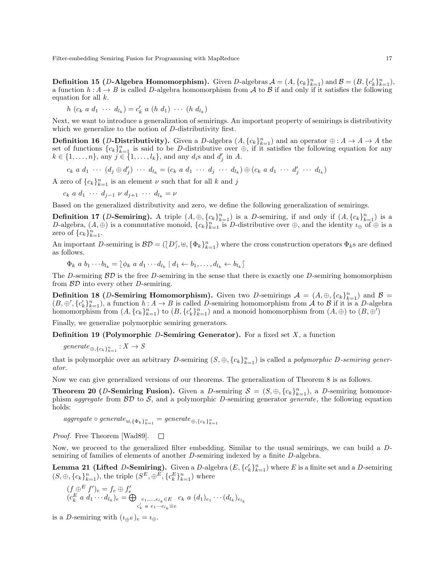**Definition 15** (*D*-Algebra Homomorphism). Given *D*-algebras  $A = (A, \{c_k\}_{k=1}^n)$  and  $B = (B, \{c'_k\}_{k=1}^n)$ , a function  $h: A \to B$  is called *D*-algebra homomorphism from *A* to *B* if and only if it satisfies the following equation for all *k*.

$$
h(c_k a d_1 \cdots d_{l_k}) = c'_k a (h d_1) \cdots (h d_{l_k})
$$

Next, we want to introduce a generalization of semirings. An important property of semirings is distributivity which we generalize to the notion of *D*-distributivity first.

**Definition 16 (D-Distributivity).** Given a D-algebra  $(A, \{c_k\}_{k=1}^n)$  and an operator  $\oplus : A \to A \to A$  the set of functions  ${c_k}_{k=1}^n$  is said to be *D*-distributive over  $\oplus$ , if it satisfies the following equation for any  $k \in \{1, \ldots, n\}$ , any  $j \in \{1, \ldots, l_k\}$ , and any  $d_i$ s and  $d'_j$  in *A*.

$$
c_k \ a \ d_1 \ \cdots \ (d_j \oplus d'_j) \ \cdots \ d_{l_k} = (c_k \ a \ d_1 \ \cdots \ d_j \ \cdots \ d_{l_k}) \oplus (c_k \ a \ d_1 \ \cdots \ d'_j \ \cdots \ d_{l_k})
$$

A zero of  ${c_k}_{k=1}^n$  is an element  $\nu$  such that for all  $k$  and  $j$ 

$$
c_k a d_1 \cdots d_{j-1} \nu d_{j+1} \cdots d_{l_k} = \nu
$$

Based on the generalized distributivity and zero, we define the following generalization of semirings.

**Definition 17 (D-Semiring).** A triple  $(A, \oplus, \{c_k\}_{k=1}^n)$  is a D-semiring, if and only if  $(A, \{c_k\}_{k=1}^n)$  is a *D*-algebra,  $(A, \oplus)$  is a commutative monoid,  $\{c_k\}_{k=1}^n$  is *D*-distributive over  $\oplus$ , and the identity  $\imath_{\oplus}$  of  $\oplus$  is a zero of  ${c_k}_{k=1}^n$ .

An important *D*-semiring is  $\mathcal{BD} = (\{D\}, \forall, \{\Phi_k\}_{k=1}^n)$  where the cross construction operators  $\Phi_k$ s are defined as follows.

$$
\Phi_k \, a \, b_1 \cdots b_{l_k} = \{ \phi_k \, a \, d_1 \cdots d_{l_k} \mid d_1 \leftarrow b_1, \ldots, d_{l_k} \leftarrow b_{l_k} \}
$$

The *D*-semiring *BD* is the free *D*-semiring in the sense that there is exactly one *D*-semiring homomorphism from *BD* into every other *D*-semiring.

**Definition 18 (***D***-Semiring Homomorphism).** Given two *D*-semirings  $A = (A, \oplus, \{c_k\}_{k=1}^n)$  and  $B =$  $(B, \oplus', \{c'_k\}_{k=1}^n)$ , a function  $h: A \to B$  is called D-semiring homomorphism from A to B if it is a D-algebra homomorphism from  $(A, \{c_k\}_{k=1}^n)$  to  $(B, \{c'_k\}_{k=1}^n)$  and a monoid homomorphism from  $(A, \oplus)$  to  $(B, \oplus')$ 

Finally, we generalize polymorphic semiring generators.

**Definition 19 (Polymorphic** *D***-Semiring Generator).** For a fixed set *X* , a function

 $\text{generate}_{\bigoplus, \{c_k\}_{k=1}^n} : X \to S$ 

that is polymorphic over an arbitrary *D*-semiring  $(S, \oplus, \{c_k\}_{k=1}^n)$  is called a *polymorphic D-semiring generator*.

Now we can give generalized versions of our theorems. The generalization of Theorem 8 is as follows.

**Theorem 20** (*D***-Semiring Fusion**). Given a *D*-semiring  $S = (S, \oplus, \{c_k\}_{k=1}^n)$ , a *D*-semiring homomorphism *aggregate* from *BD* to *S*, and a polymorphic *D*-semiring generator *generate*, the following equation holds:

 ${aggregate \circ generate_{\forall}, {\{\Phi_k\}}_{k=1}^n} = generate_{\bigoplus, {\{c_k\}}_{k=1}^n}$ 

*Proof.* Free Theorem [Wad89].  $\square$ 

Now, we proceed to the generalized filter embedding. Similar to the usual semirings, we can build a *D*semiring of families of elements of another *D*-semiring indexed by a finite *D*-algebra.

**Lemma 21 (Lifted** *D***-Semiring**). Given a *D*-algebra  $(E, \{c'_k\}_{k=1}^n)$  where *E* is a finite set and a *D*-semiring  $(S, \oplus, \{c_k\}_{k=1}^n)$ , the triple  $(S^E, \oplus^E, \{c_k^E\}_{k=1}^n)$  where

$$
(f \oplus^{E} f')_{e} = f_{e} \oplus f'_{e}
$$
  

$$
(c_{k}^{E} a d_{1} \cdots d_{l_{k}})_{e} = \bigoplus_{\substack{e_{1}, \ldots, e_{l_{k}} \in E \\ c'_{k} a e_{1} \cdots e_{l_{k}} \equiv e}} c_{k} a (d_{1})_{e_{1}} \cdots (d_{l_{k}})_{e_{l_{k}}}
$$

is a *D*-semiring with  $(i_{\oplus}E)_e = i_{\oplus}$ .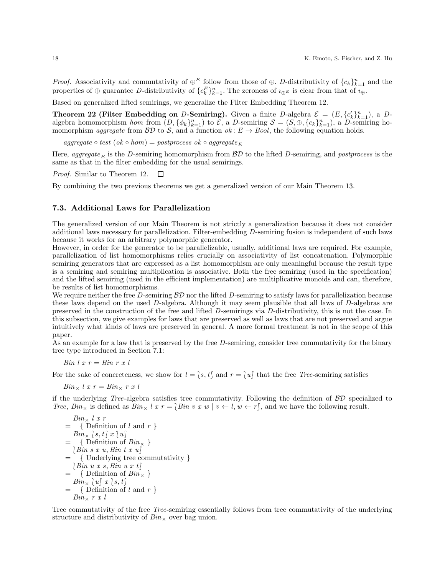*Proof.* Associativity and commutativity of  $\bigoplus$ <sup>*E*</sup> follow from those of  $\bigoplus$ . *D*-distributivity of  $\{c_k\}_{k=1}^n$  and the properties of  $\oplus$  guarantee *D*-distributivity of  ${c_k^E}_{k=1}^n$ . The zeroness of  $\iota_{\oplus}$ *E* is clear from that of  $\iota_{\oplus}$ *.* 

Based on generalized lifted semirings, we generalize the Filter Embedding Theorem 12.

**Theorem 22 (Filter Embedding on** *D***-Semiring).** Given a finite *D*-algebra  $\mathcal{E} = (E, \{c'_k\}_{k=1}^n)$ , a *D*algebra homomorphism hom from  $(D, {\{\phi_k\}}_{k=1}^n)$  to  $\mathcal{E}$ , a D-semiring  $\mathcal{S} = (S, \oplus, {\{c_k\}}_{k=1}^n)$ , a D-semiring homomorphism *aggregate* from  $\mathcal{BD}$  to *S*, and a function *ok* :  $E \rightarrow \text{Bool}$ , the following equation holds.

 $aggregate \circ test (ok \circ hom) = postprocess \, ok \circ aggregate \, E$ 

Here,  $\underset{D}{\operatorname{aggregate}}_{E}$  is the *D*-semiring homomorphism from  $\mathcal{BD}$  to the lifted *D*-semiring, and *postprocess* is the same as that in the filter embedding for the usual semirings.

*Proof.* Similar to Theorem 12.  $\Box$ 

By combining the two previous theorems we get a generalized version of our Main Theorem 13.

#### **7.3. Additional Laws for Parallelization**

The generalized version of our Main Theorem is not strictly a generalization because it does not consider additional laws necessary for parallelization. Filter-embedding *D*-semiring fusion is independent of such laws because it works for an arbitrary polymorphic generator.

However, in order for the generator to be parallelizable, usually, additional laws are required. For example, parallelization of list homomorphisms relies crucially on associativity of list concatenation. Polymorphic semiring generators that are expressed as a list homomorphism are only meaningful because the result type is a semiring and semiring multiplication is associative. Both the free semiring (used in the specification) and the lifted semiring (used in the efficient implementation) are multiplicative monoids and can, therefore, be results of list homomorphisms.

We require neither the free *D*-semiring  $B\mathcal{D}$  nor the lifted *D*-semiring to satisfy laws for parallelization because these laws depend on the used *D*-algebra. Although it may seem plausible that all laws of *D*-algebras are preserved in the construction of the free and lifted *D*-semirings via *D*-distributivity, this is not the case. In this subsection, we give examples for laws that are preserved as well as laws that are not preserved and argue intuitively what kinds of laws are preserved in general. A more formal treatment is not in the scope of this paper.

As an example for a law that is preserved by the free *D*-semiring, consider tree commutativity for the binary tree type introduced in Section 7.1:

*Bin l x r* = *Bin r x l*

For the sake of concreteness, we show for  $l = \{s, t\}$  and  $r = \{u\}$  that the free *Tree*-semiring satisfies

 $Bin_{\times}$  *l*  $x$   $r = Bin_{\times}$   $r$   $x$  *l* 

if the underlying *Tree*-algebra satisfies tree commutativity. Following the definition of *BD* specialized to *Tree*,  $Bin_{\times}$  is defined as  $Bin_{\times}$  *l*  $x$   $r = \lfloor Bin \ v \ x \ w \rfloor \ v \leftarrow l$ ,  $w \leftarrow r$ , and we have the following result.

$$
Bin_{x} l x r
$$
\n
$$
= \{ \text{Definition of } l \text{ and } r \}
$$
\n
$$
Bin_{x} \{s, t\} x \{u\}
$$
\n
$$
= \{ \text{Definition of } Bin_{x} \}
$$
\n
$$
= \{ \text{Uniform of } Bin x u, B \}
$$
\n
$$
= \{ \text{Underlying tree commutativity } \}
$$
\n
$$
= \{ \text{Definition of } Bin_{x} \}
$$
\n
$$
Bin_{x} \{u\} x \{s, t\}
$$
\n
$$
= \{ \text{Definition of } lin_{x} \}
$$
\n
$$
Bin_{x} r x l
$$

Tree commutativity of the free *Tree*-semiring essentially follows from tree commutativity of the underlying structure and distributivity of *Bin<sup>×</sup>* over bag union.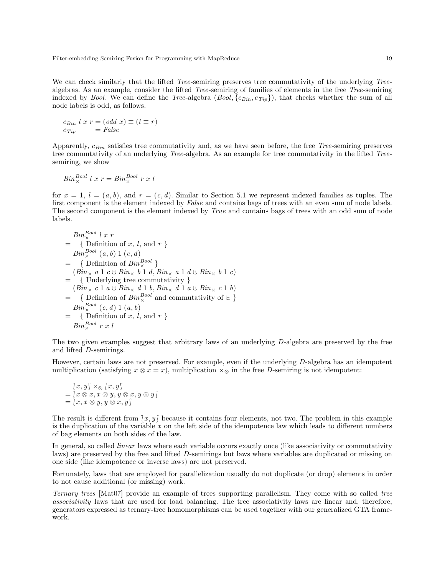We can check similarly that the lifted *Tree*-semiring preserves tree commutativity of the underlying *Tree*algebras. As an example, consider the lifted *Tree*-semiring of families of elements in the free *Tree*-semiring indexed by *Bool*. We can define the *Tree*-algebra (*Bool, {cBin, cTip}*), that checks whether the sum of all node labels is odd, as follows.

$$
\begin{array}{c} c_{Bin} \ l \ x \ r = (odd \ x) \equiv (l \equiv r) \\ c_{Tip} \qquad = False \end{array}
$$

Apparently, *cBin* satisfies tree commutativity and, as we have seen before, the free *Tree*-semiring preserves tree commutativity of an underlying *Tree*-algebra. As an example for tree commutativity in the lifted *Tree*semiring, we show

$$
Bin_{\times}^{Bool} \ l \ x \ r = Bin_{\times}^{Bool} \ r \ x \ l
$$

for  $x = 1$ ,  $l = (a, b)$ , and  $r = (c, d)$ . Similar to Section 5.1 we represent indexed families as tuples. The first component is the element indexed by *False* and contains bags of trees with an even sum of node labels. The second component is the element indexed by *True* and contains bags of trees with an odd sum of node labels.

$$
Bin_{\times}^{Bool} l x r
$$
  
= { Definition of x, l, and r }  

$$
Bin_{\times}^{Bool} (a, b) 1 (c, d)
$$
  
= { Definition of Bin <sub>$\times$</sub>  1 d, Bin <sub>$\times$</sub>  a 1 d  $\oplus$  Bin <sub>$\times$</sub>  b 1 c)  
= { Underlying tree commutativity }  
= { Bin <sub>$\times$</sub>  c 1 a  $\oplus$  Bin <sub>$\times$</sub>  d 1 b, Bin <sub>$\times$</sub>  d 1 a  $\oplus$  Bin <sub>$\times$</sub>  c 1 b)  
= { Definition of Bin <sub>$\times$</sub>  1 d, b, Bin <sub>$\times$</sub>  d 1 a  $\oplus$  Bin <sub>$\times$</sub>  c 1 b)  
= { Definition of Bin <sub>$\times$</sub>  1 d, b)  
= { Definition of x, l, and r }  
= { Definition of x, l, and r }  
Bin <sub>$\times$</sub>  1 d

The two given examples suggest that arbitrary laws of an underlying *D*-algebra are preserved by the free and lifted *D*-semirings.

However, certain laws are not preserved. For example, even if the underlying *D*-algebra has an idempotent multiplication (satisfying  $x \otimes x = x$ ), multiplication  $\times_{\otimes}$  in the free *D*-semiring is not idempotent:

$$
\begin{array}{l} \mathcal{X},y\mathcal{Y}\times_{\otimes}\mathcal{X},y\mathcal{Y} \\ =\mathcal{X}\otimes x,x\otimes y,y\otimes x,y\otimes y\mathcal{Y} \\ =\mathcal{X},x\otimes y,y\otimes x,y\mathcal{Y} \end{array}
$$

The result is different from  $\langle x, y \rangle$  because it contains four elements, not two. The problem in this example is the duplication of the variable *x* on the left side of the idempotence law which leads to different numbers of bag elements on both sides of the law.

In general, so called *linear* laws where each variable occurs exactly once (like associativity or commutativity laws) are preserved by the free and lifted *D*-semirings but laws where variables are duplicated or missing on one side (like idempotence or inverse laws) are not preserved.

Fortunately, laws that are employed for parallelization usually do not duplicate (or drop) elements in order to not cause additional (or missing) work.

*Ternary trees* [Mat07] provide an example of trees supporting parallelism. They come with so called *tree associativity* laws that are used for load balancing. The tree associativity laws are linear and, therefore, generators expressed as ternary-tree homomorphisms can be used together with our generalized GTA framework.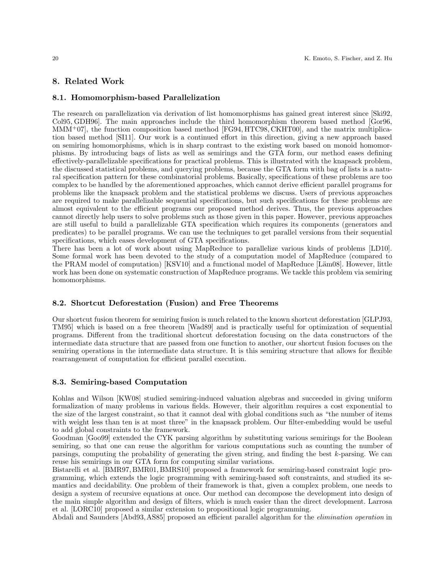# **8. Related Work**

#### **8.1. Homomorphism-based Parallelization**

The research on parallelization via derivation of list homomorphisms has gained great interest since [Ski92, Col95, GDH96]. The main approaches include the third homomorphism theorem based method [Gor96,  $MMM+07$ , the function composition based method [FG94, HTC98, CKHT00], and the matrix multiplication based method [SI11]. Our work is a continued effort in this direction, giving a new approach based on semiring homomorphisms, which is in sharp contrast to the existing work based on monoid homomorphisms. By introducing bags of lists as well as semirings and the GTA form, our method eases defining effectively-parallelizable specifications for practical problems. This is illustrated with the knapsack problem, the discussed statistical problems, and querying problems, because the GTA form with bag of lists is a natural specification pattern for these combinatorial problems. Basically, specifications of these problems are too complex to be handled by the aforementioned approaches, which cannot derive efficient parallel programs for problems like the knapsack problem and the statistical problems we discuss. Users of previous approaches are required to make parallelizable sequential specifications, but such specifications for these problems are almost equivalent to the efficient programs our proposed method derives. Thus, the previous approaches cannot directly help users to solve problems such as those given in this paper. However, previous approaches are still useful to build a parallelizable GTA specification which requires its components (generators and predicates) to be parallel programs. We can use the techniques to get parallel versions from their sequential specifications, which eases development of GTA specifications.

There has been a lot of work about using MapReduce to parallelize various kinds of problems [LD10]. Some formal work has been devoted to the study of a computation model of MapReduce (compared to the PRAM model of computation) [KSV10] and a functional model of MapReduce [Läm08]. However, little work has been done on systematic construction of MapReduce programs. We tackle this problem via semiring homomorphisms.

# **8.2. Shortcut Deforestation (Fusion) and Free Theorems**

Our shortcut fusion theorem for semiring fusion is much related to the known shortcut deforestation [GLPJ93, TM95] which is based on a free theorem [Wad89] and is practically useful for optimization of sequential programs. Different from the traditional shortcut deforestation focusing on the data constructors of the intermediate data structure that are passed from one function to another, our shortcut fusion focuses on the semiring operations in the intermediate data structure. It is this semiring structure that allows for flexible rearrangement of computation for efficient parallel execution.

## **8.3. Semiring-based Computation**

Kohlas and Wilson [KW08] studied semiring-induced valuation algebras and succeeded in giving uniform formalization of many problems in various fields. However, their algorithm requires a cost exponential to the size of the largest constraint, so that it cannot deal with global conditions such as "the number of items with weight less than ten is at most three" in the knapsack problem. Our filter-embedding would be useful to add global constraints to the framework.

Goodman [Goo99] extended the CYK parsing algorithm by substituting various semirings for the Boolean semiring, so that one can reuse the algorithm for various computations such as counting the number of parsings, computing the probability of generating the given string, and finding the best *k*-parsing. We can reuse his semirings in our GTA form for computing similar variations.

Bistarelli et al. [BMR97, BMR01, BMRS10] proposed a framework for semiring-based constraint logic programming, which extends the logic programming with semiring-based soft constraints, and studied its semantics and decidability. One problem of their framework is that, given a complex problem, one needs to design a system of recursive equations at once. Our method can decompose the development into design of the main simple algorithm and design of filters, which is much easier than the direct development. Larrosa et al. [LORC10] proposed a similar extension to propositional logic programming.

Abdali and Saunders [Abd93,AS85] proposed an efficient parallel algorithm for the *elimination operation* in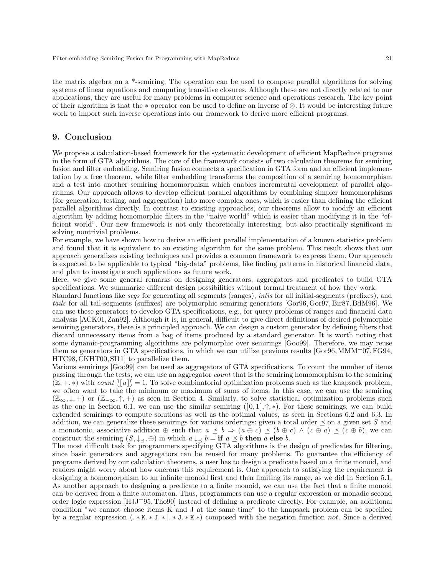the matrix algebra on a \*-semiring. The operation can be used to compose parallel algorithms for solving systems of linear equations and computing transitive closures. Although these are not directly related to our applications, they are useful for many problems in computer science and operations research. The key point of their algorithm is that the *∗* operator can be used to define an inverse of *⊗*. It would be interesting future work to import such inverse operations into our framework to derive more efficient programs.

## **9. Conclusion**

We propose a calculation-based framework for the systematic development of efficient MapReduce programs in the form of GTA algorithms. The core of the framework consists of two calculation theorems for semiring fusion and filter embedding. Semiring fusion connects a specification in GTA form and an efficient implementation by a free theorem, while filter embedding transforms the composition of a semiring homomorphism and a test into another semiring homomorphism which enables incremental development of parallel algorithms. Our approach allows to develop efficient parallel algorithms by combining simpler homomorphisms (for generation, testing, and aggregation) into more complex ones, which is easier than defining the efficient parallel algorithms directly. In contrast to existing approaches, our theorems allow to modify an efficient algorithm by adding homomorphic filters in the "naive world" which is easier than modifying it in the "efficient world". Our new framework is not only theoretically interesting, but also practically significant in solving nontrivial problems.

For example, we have shown how to derive an efficient parallel implementation of a known statistics problem and found that it is equivalent to an existing algorithm for the same problem. This result shows that our approach generalizes existing techniques and provides a common framework to express them. Our approach is expected to be applicable to typical "big-data" problems, like finding patterns in historical financial data, and plan to investigate such applications as future work.

Here, we give some general remarks on designing generators, aggregators and predicates to build GTA specifications. We summarize different design possibilities without formal treatment of how they work.

Standard functions like *segs* for generating all segments (ranges), *intis* for all initial-segments (prefixes), and *tails* for all tail-segments (suffixes) are polymorphic semiring generators [Gor96, Gor97, Bir87, BdM96]. We can use these generators to develop GTA specifications, e.g., for query problems of ranges and financial data analysis [ACK01,Zan92]. Although it is, in general, difficult to give direct definitions of desired polymorphic semiring generators, there is a principled approach. We can design a custom generator by defining filters that discard unnecessary items from a bag of items produced by a standard generator. It is worth noting that some dynamic-programming algorithms are polymorphic over semirings [Goo99]. Therefore, we may reuse them as generators in GTA specifications, in which we can utilize previous results [Gor96,MMM<sup>+</sup>07,FG94, HTC98, CKHT00, SI11] to parallelize them.

Various semirings [Goo99] can be used as aggregators of GTA specifications. To count the number of items passing through the tests, we can use an aggregator *count* that is the semiring homomorphism to the semiring  $(\mathbb{Z}, +, *)$  with *count*  $\{[a]\} = 1$ . To solve combinatorial optimization problems such as the knapsack problem, we often want to take the minimum or maximum of sums of items. In this case, we can use the semiring  $(\mathbb{Z}_{\infty}, \downarrow, +)$  or  $(\mathbb{Z}_{-\infty}, \uparrow, +)$  as seen in Section 4. Similarly, to solve statistical optimization problems such as the one in Section 6.1, we can use the similar semiring  $([0,1], \uparrow, *)$ . For these semirings, we can build extended semirings to compute solutions as well as the optimal values, as seen in Sections 6.2 and 6.3. In addition, we can generalize these semirings for various orderings: given a total order  $\preceq$  on a given set *S* and a monotonic, associative addition  $\oplus$  such that  $a \preceq b \Rightarrow (a \oplus c) \preceq (b \oplus c) \wedge (c \oplus a) \preceq (c \oplus b)$ , we can construct the semiring  $(S, \downarrow, \oplus)$  in which  $a \downarrow \downarrow b = \textbf{if } a \preceq b \textbf{ then } a \textbf{ else } b$ .

The most difficult task for programmers specifying GTA algorithms is the design of predicates for filtering, since basic generators and aggregators can be reused for many problems. To guarantee the efficiency of programs derived by our calculation theorems, a user has to design a predicate based on a finite monoid, and readers might worry about how onerous this requirement is. One approach to satisfying the requirement is designing a homomorphism to an infinite monoid first and then limiting its range, as we did in Section 5.1. As another approach to designing a predicate to a finite monoid, we can use the fact that a finite monoid can be derived from a finite automaton. Thus, programmers can use a regular expression or monadic second order logic expression [HJJ<sup>+</sup>95, Tho90] instead of defining a predicate directly. For example, an additional condition "we cannot choose items K and J at the same time" to the knapsack problem can be specified by a regular expression (*. ∗* K*. ∗* J*. ∗ |. ∗* J*. ∗* K*.∗*) composed with the negation function *not*. Since a derived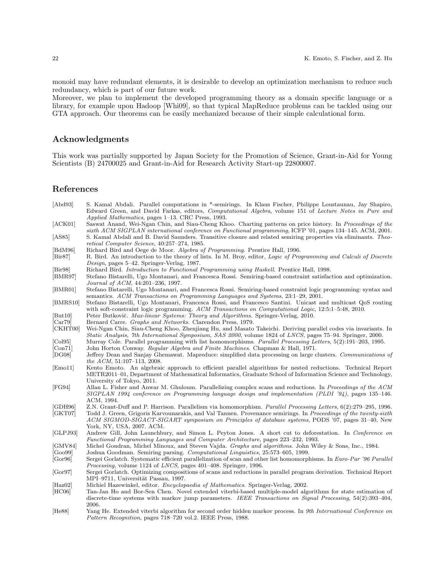monoid may have redundant elements, it is desirable to develop an optimization mechanism to reduce such redundancy, which is part of our future work.

Moreover, we plan to implement the developed programming theory as a domain specific language or a library, for example upon Hadoop [Whi09], so that typical MapReduce problems can be tackled using our GTA approach. Our theorems can be easily mechanized because of their simple calculational form.

# **Acknowledgments**

This work was partially supported by Japan Society for the Promotion of Science, Grant-in-Aid for Young Scientists (B) 24700025 and Grant-in-Aid for Research Activity Start-up 22800007.

[Abd93] S. Kamal Abdali. Parallel computations in \*-semirings. In Klaus Fischer, Philippe Loustaunau, Jay Shapiro,

## **References**

|                              | Edward Green, and David Farkas, editors, Computational Algebra, volume 151 of Lecture Notes in Pure and<br><i>Applied Mathematics</i> , pages 1–13. CRC Press, 1993.                                                                     |
|------------------------------|------------------------------------------------------------------------------------------------------------------------------------------------------------------------------------------------------------------------------------------|
| [ACK01]                      | Saswat Anand, Wei-Ngan Chin, and Siau-Cheng Khoo. Charting patterns on price history. In Proceedings of the<br>sixth ACM SIGPLAN international conference on Functional programming, ICFP '01, pages 134–145. ACM, 2001.                 |
| [ASS5]                       | S. Kamal Abdali and B. David Saunders. Transitive closure and related semiring properties via eliminants. Theo-<br>retical Computer Science, 40:257-274, 1985.                                                                           |
| [BdM96]                      | Richard Bird and Oege de Moor. Algebra of Programming. Prentice Hall, 1996.                                                                                                                                                              |
| $\left[\text{Bir87}\right]$  | R. Bird. An introduction to the theory of lists. In M. Broy, editor, Logic of Programming and Calculi of Discrete<br><i>Design</i> , pages $5-42$ . Springer-Verlag, 1987.                                                               |
| $\vert$ Bir $98\rvert$       | Richard Bird. <i>Introduction to Functional Programming using Haskell</i> . Prentice Hall, 1998.                                                                                                                                         |
| [BMR97]                      | Stefano Bistarelli, Ugo Montanari, and Francesca Rossi. Semiring-based constraint satisfaction and optimization.<br><i>Journal of ACM</i> , 44:201-236, 1997.                                                                            |
| [BMR01]                      | Stefano Bistarelli, Ugo Montanari, and Francesca Rossi. Semiring-based constraint logic programming: syntax and<br>semantics. ACM Transactions on Programming Languages and Systems, 23:1–29, 2001.                                      |
| [BMRS10]                     | Stefano Bistarelli, Ugo Montanari, Francesca Rossi, and Francesco Santini. Unicast and multicast QoS routing<br>with soft-constraint logic programming. ACM Transactions on Computational Logic, 12:5:1–5:48, 2010.                      |
| [But 10]                     | Peter Butkovič. Max-linear Systems: Theory and Algorithms. Springer-Verlag, 2010.                                                                                                                                                        |
| $\left[{\rm Car}79\right]$   | Bernard Carre. Graphs and Networks. Clarendon Press, 1979.                                                                                                                                                                               |
| [CKHT00]                     | Wei-Ngan Chin, Siau-Cheng Khoo, Zhenjiang Hu, and Masato Takeichi. Deriving parallel codes via invariants. In                                                                                                                            |
|                              | Static Analysis, 7th International Symposium, SAS 2000, volume 1824 of LNCS, pages 75–94. Springer, 2000.                                                                                                                                |
| [Co195]                      | Murray Cole. Parallel programming with list homomorphisms. <i>Parallel Processing Letters</i> , 5(2):191–203, 1995.                                                                                                                      |
| $\left[ \text{Con71}\right]$ | John Horton Conway. Regular Algebra and Finite Machines. Chapman & Hall, 1971.                                                                                                                                                           |
| [DG08]                       | Jeffrey Dean and Sanjay Ghemawat. Mapreduce: simplified data processing on large clusters. Communications of<br>the ACM, $51:107-113$ , 2008.                                                                                            |
| [Emo11]                      | Kento Emoto. An algebraic approach to efficient parallel algorithms for nested reductions. Technical Report                                                                                                                              |
|                              | METR2011-01, Department of Mathematical Informatics, Graduate School of Information Science and Technology,                                                                                                                              |
|                              | University of Tokyo, 2011.                                                                                                                                                                                                               |
| [FG94]                       | Allan L. Fisher and Anwar M. Ghuloum. Parallelizing complex scans and reductions. In <i>Proceedings of the ACM</i><br>SIGPLAN 1994 conference on Programming language design and implementation (PLDI '94), pages 135–146.<br>ACM, 1994. |
| [GDH96]                      | Z.N. Grant-Duff and P. Harrison. Parallelism via homomorphism. Parallel Processing Letters, 6(2):279–295, 1996.                                                                                                                          |
| [GKT07]                      | Todd J. Green, Grigoris Karvounarakis, and Val Tannen. Provenance semirings. In <i>Proceedings of the twenty-sixth</i><br>ACM SIGMOD-SIGACT-SIGART symposium on Principles of database systems, PODS '07, pages 31–40, New               |
|                              | York, NY, USA, 2007. ACM.                                                                                                                                                                                                                |
| [GLPJ93]                     | Andrew Gill, John Launchbury, and Simon L. Peyton Jones. A short cut to deforestation. In Conference on<br>Functional Programming Languages and Computer Architecture, pages 223–232, 1993.                                              |
| [GMV84]                      | Michel Gondran, Michel Minoux, and Steven Vajda. <i>Graphs and algorithms</i> . John Wiley & Sons, Inc., 1984.                                                                                                                           |
| [Goo99]                      | Joshua Goodman. Semiring parsing. Computational Linguistics, 25:573–605, 1999.                                                                                                                                                           |
| [Gor96]                      | Sergei Gorlatch. Systematic efficient parallelization of scan and other list homomorphisms. In Euro-Par '96 Parallel<br><i>Processing</i> , volume 1124 of <i>LNCS</i> , pages 401–408. Springer, 1996.                                  |
| [Gor97]                      | Sergei Gorlatch. Optimizing compositions of scans and reductions in parallel program derivation. Technical Report<br>MPI-9711, Universität Passau, 1997.                                                                                 |
| [Haz02]                      | Michiel Hazewinkel, editor. <i>Encyclopaedia of Mathematics</i> . Springer-Verlag, 2002.                                                                                                                                                 |
| [HC06]                       | Tan-Jan Ho and Bor-Sen Chen. Novel extended viterbi-based multiple-model algorithms for state estimation of<br>discrete-time systems with markov jump parameters. IEEE Transactions on Signal Processing, 54(2):393-404,                 |
|                              | 2006.                                                                                                                                                                                                                                    |
| [He88]                       | Yang He. Extended viterbi algorithm for second order hidden markov process. In 9th International Conference on<br><i>Pattern Recognition</i> , pages 718–720 vol.2. IEEE Press, 1988.                                                    |
|                              |                                                                                                                                                                                                                                          |